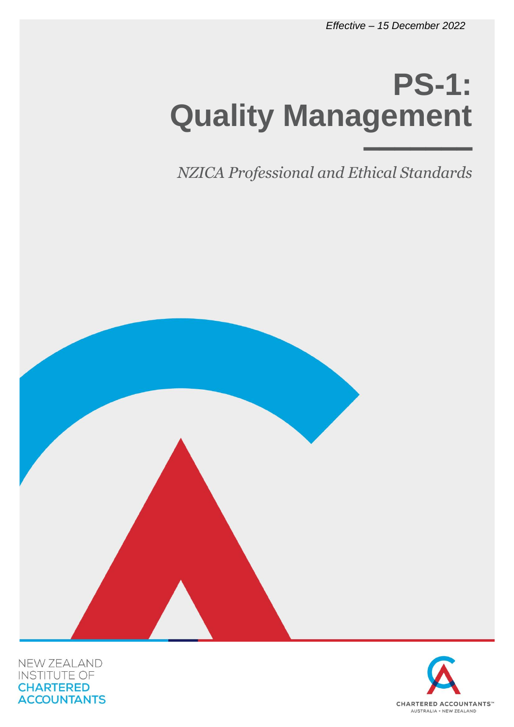# **PS-1: Quality Management** –––––––

*NZICA Professional and Ethical Standards*



NEW ZEALAND **INSTITUTE OF CHARTERED ACCOUNTANTS** 

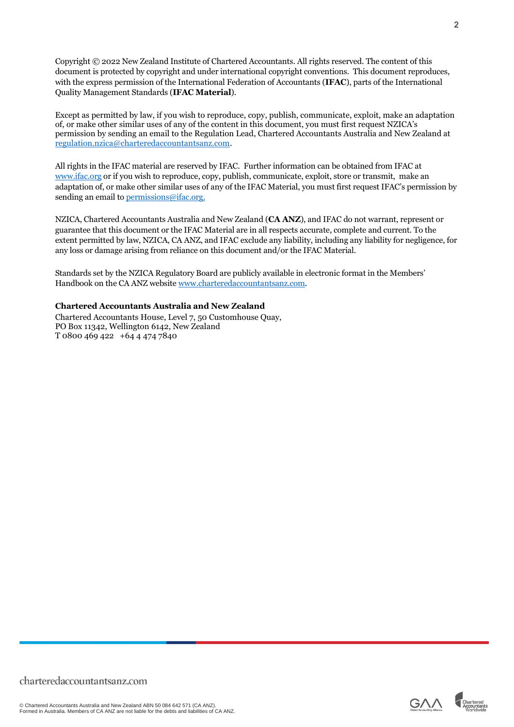Copyright © 2022 New Zealand Institute of Chartered Accountants. All rights reserved. The content of this document is protected by copyright and under international copyright conventions. This document reproduces, with the express permission of the International Federation of Accountants (**IFAC**), parts of the International Quality Management Standards (**IFAC Material**).

Except as permitted by law, if you wish to reproduce, copy, publish, communicate, exploit, make an adaptation of, or make other similar uses of any of the content in this document, you must first request NZICA's permission by sending an email to the Regulation Lead, Chartered Accountants Australia and New Zealand at [regulation.nzica@charteredaccountantsanz.com.](mailto:regulation.nzica@charteredaccountantsanz.com)

All rights in the IFAC material are reserved by IFAC. Further information can be obtained from IFAC at [www.ifac.org](http://www.ifac.org/) or if you wish to reproduce, copy, publish, communicate, exploit, store or transmit, make an adaptation of, or make other similar uses of any of the IFAC Material, you must first request IFAC's permission by sending an email to [permissions@ifac.org.](mailto:permissions@ifac.org)

NZICA, Chartered Accountants Australia and New Zealand (**CA ANZ**), and IFAC do not warrant, represent or guarantee that this document or the IFAC Material are in all respects accurate, complete and current. To the extent permitted by law, NZICA, CA ANZ, and IFAC exclude any liability, including any liability for negligence, for any loss or damage arising from reliance on this document and/or the IFAC Material.

Standards set by the NZICA Regulatory Board are publicly available in electronic format in the Members' Handbook on the CA ANZ websit[e www.charteredaccountantsanz.com.](http://www.charteredaccountantsanz.com/)

#### **Chartered Accountants Australia and New Zealand**

Chartered Accountants House, Level 7, 50 Customhouse Quay, PO Box 11342, Wellington 6142, New Zealand T 0800 469 422 +64 4 474 7840

© Chartered Accountants Australia and New Zealand ABN 50 084 642 571 (CA ANZ). Formed in Australia. Members of CA ANZ are not liable for the debts and liabilities of CA ANZ.

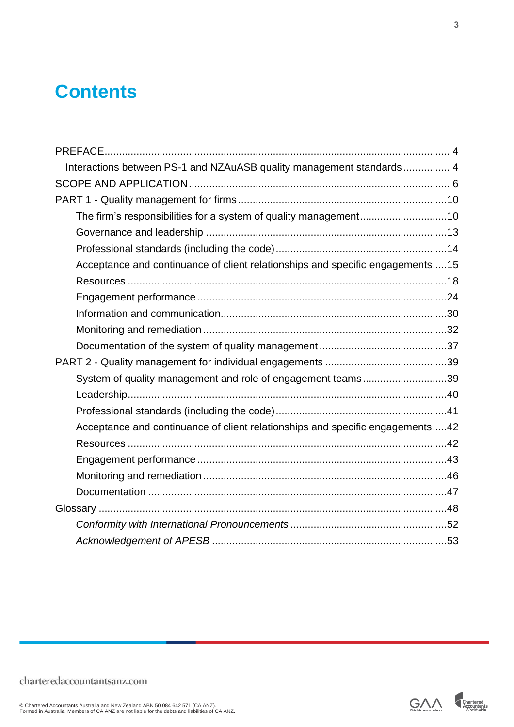### **Contents**

| Interactions between PS-1 and NZAuASB quality management standards  4         |  |
|-------------------------------------------------------------------------------|--|
|                                                                               |  |
|                                                                               |  |
| The firm's responsibilities for a system of quality management10              |  |
|                                                                               |  |
|                                                                               |  |
| Acceptance and continuance of client relationships and specific engagements15 |  |
|                                                                               |  |
|                                                                               |  |
|                                                                               |  |
|                                                                               |  |
|                                                                               |  |
|                                                                               |  |
| System of quality management and role of engagement teams39                   |  |
|                                                                               |  |
|                                                                               |  |
| Acceptance and continuance of client relationships and specific engagements42 |  |
|                                                                               |  |
|                                                                               |  |
|                                                                               |  |
|                                                                               |  |
|                                                                               |  |
|                                                                               |  |
|                                                                               |  |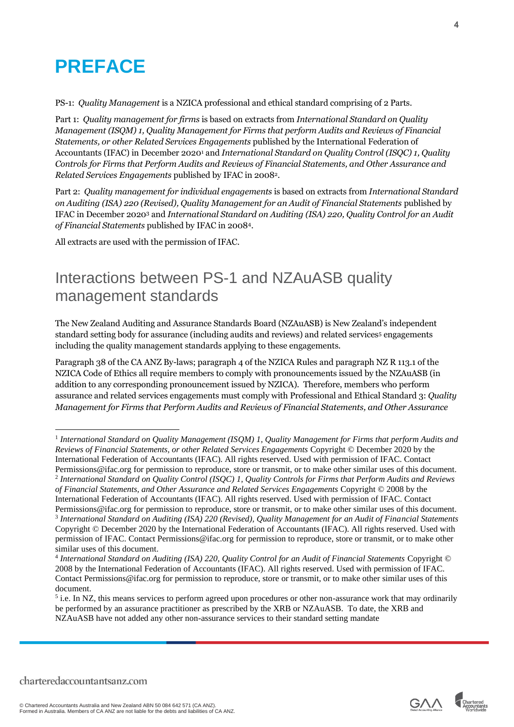### <span id="page-3-0"></span>**PREFACE**

PS-1: *Quality Management* is a NZICA professional and ethical standard comprising of 2 Parts.

Part 1: *Quality management for firms* is based on extracts from *International Standard on Quality Management (ISQM) 1, Quality Management for Firms that perform Audits and Reviews of Financial Statements, or other Related Services Engagements* published by the International Federation of Accountants (IFAC) in December 2020<sup>1</sup> and *International Standard on Quality Control (ISQC) 1, Quality Controls for Firms that Perform Audits and Reviews of Financial Statements, and Other Assurance and Related Services Engagements* published by IFAC in 20082.

Part 2: *Quality management for individual engagements* is based on extracts from *International Standard on Auditing (ISA) 220 (Revised), Quality Management for an Audit of Financial Statements* published by IFAC in December 2020<sup>3</sup> and *International Standard on Auditing (ISA) 220, Quality Control for an Audit of Financial Statements* published by IFAC in 20084.

All extracts are used with the permission of IFAC.

### <span id="page-3-1"></span>Interactions between PS-1 and NZAuASB quality management standards

The New Zealand Auditing and Assurance Standards Board (NZAuASB) is New Zealand's independent standard setting body for assurance (including audits and reviews) and related services<sup>5</sup> engagements including the quality management standards applying to these engagements.

Paragraph 38 of the CA ANZ By-laws; paragraph 4 of the NZICA Rules and paragraph NZ R 113.1 of the NZICA Code of Ethics all require members to comply with pronouncements issued by the NZAuASB (in addition to any corresponding pronouncement issued by NZICA). Therefore, members who perform assurance and related services engagements must comply with Professional and Ethical Standard 3: *Quality Management for Firms that Perform Audits and Reviews of Financial Statements, and Other Assurance* 



<sup>&</sup>lt;sup>1</sup> International Standard on Quality Management (ISQM) 1, Quality Management for Firms that perform Audits and *Reviews of Financial Statements, or other Related Services Engagements* Copyright © December 2020 by the International Federation of Accountants (IFAC). All rights reserved. Used with permission of IFAC. Contact Permissions@ifac.org for permission to reproduce, store or transmit, or to make other similar uses of this document.

<sup>2</sup> *International Standard on Quality Control (ISQC) 1, Quality Controls for Firms that Perform Audits and Reviews of Financial Statements, and Other Assurance and Related Services Engagements* Copyright © 2008 by the International Federation of Accountants (IFAC). All rights reserved. Used with permission of IFAC. Contact

Permissions@ifac.org for permission to reproduce, store or transmit, or to make other similar uses of this document. 3 *International Standard on Auditing (ISA) 220 (Revised), Quality Management for an Audit of Financial Statements* Copyright © December 2020 by the International Federation of Accountants (IFAC). All rights reserved. Used with permission of IFAC. Contact Permissions@ifac.org for permission to reproduce, store or transmit, or to make other similar uses of this document.

<sup>4</sup> *International Standard on Auditing (ISA) 220, Quality Control for an Audit of Financial Statements* Copyright © 2008 by the International Federation of Accountants (IFAC). All rights reserved. Used with permission of IFAC. Contact Permissions@ifac.org for permission to reproduce, store or transmit, or to make other similar uses of this document.

<sup>&</sup>lt;sup>5</sup> i.e. In NZ, this means services to perform agreed upon procedures or other non-assurance work that may ordinarily be performed by an assurance practitioner as prescribed by the XRB or NZAuASB. To date, the XRB and NZAuASB have not added any other non-assurance services to their standard setting mandate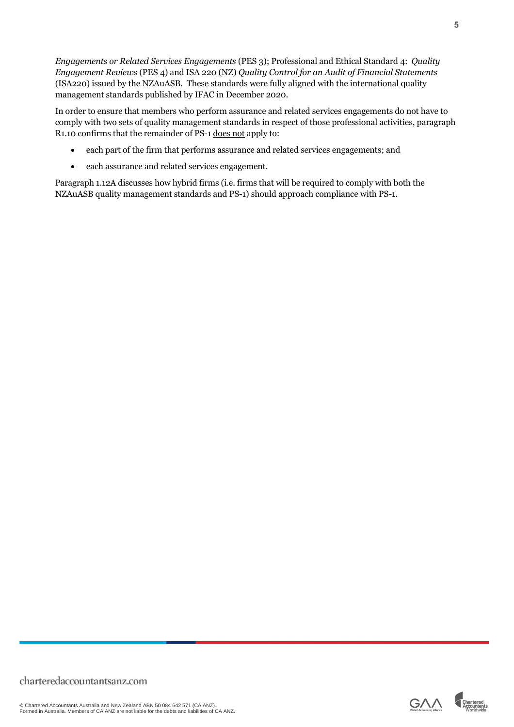*Engagements or Related Services Engagements* (PES 3); Professional and Ethical Standard 4: *Quality Engagement Reviews* (PES 4) and ISA 220 (NZ) *Quality Control for an Audit of Financial Statements* (ISA220) issued by the NZAuASB. These standards were fully aligned with the international quality management standards published by IFAC in December 2020.

In order to ensure that members who perform assurance and related services engagements do not have to comply with two sets of quality management standards in respect of those professional activities, paragraph R1.10 confirms that the remainder of PS-1 does not apply to:

- each part of the firm that performs assurance and related services engagements; and
- each assurance and related services engagement.

Paragraph 1.12A discusses how hybrid firms (i.e. firms that will be required to comply with both the NZAuASB quality management standards and PS-1) should approach compliance with PS-1.



**5**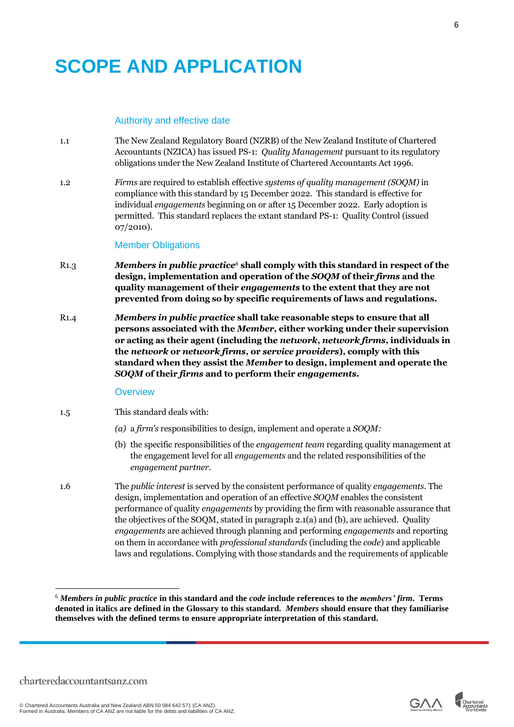# <span id="page-5-0"></span>**SCOPE AND APPLICATION**

#### Authority and effective date

- 1.1 The New Zealand Regulatory Board (NZRB) of the New Zealand Institute of Chartered Accountants (NZICA) has issued PS-1: *Quality Management* pursuant to its regulatory obligations under the New Zealand Institute of Chartered Accountants Act 1996.
- 1.2 *Firms* are required to establish effective *systems of quality management (SOQM)* in compliance with this standard by 15 December 2022. This standard is effective for individual *engagements* beginning on or after 15 December 2022. Early adoption is permitted. This standard replaces the extant standard PS-1: Quality Control (issued 07/2010).

#### Member Obligations

- R1.3 *Members in public practice<sup>6</sup>* **shall comply with this standard in respect of the design, implementation and operation of the** *SOQM* **of their** *firms* **and the quality management of their** *engagements* **to the extent that they are not prevented from doing so by specific requirements of laws and regulations.**
- R1.4 *Members in public practice* **shall take reasonable steps to ensure that all persons associated with the** *Member***, either working under their supervision or acting as their agent (including the** *network***,** *network firms***, individuals in the** *network* **or** *network firms***, or** *service providers***), comply with this standard when they assist the** *Member* **to design, implement and operate the**  *SOQM* **of their** *firms* **and to perform their** *engagements.*

#### **Overview**

- 1.5 This standard deals with:
	- *(a)* a *firm's* responsibilities to design, implement and operate a *SOQM:*
	- (b) the specific responsibilities of the *engagement team* regarding quality management at the engagement level for all *engagements* and the related responsibilities of the *engagement partner*.
- 1.6 The *public interest* is served by the consistent performance of quality *engagements*. The design, implementation and operation of an effective *SOQM* enables the consistent performance of quality *engagements* by providing the firm with reasonable assurance that the objectives of the SOQM, stated in paragraph 2.1(a) and (b), are achieved. Quality *engagements* are achieved through planning and performing *engagements* and reporting on them in accordance with *professional standards* (including the *code*) and applicable laws and regulations. Complying with those standards and the requirements of applicable



<sup>6</sup> *Members in public practice* **in this standard and the** *code* **include references to the** *members' firm***. Terms denoted in italics are defined in the Glossary to this standard.** *Members* **should ensure that they familiarise themselves with the defined terms to ensure appropriate interpretation of this standard.**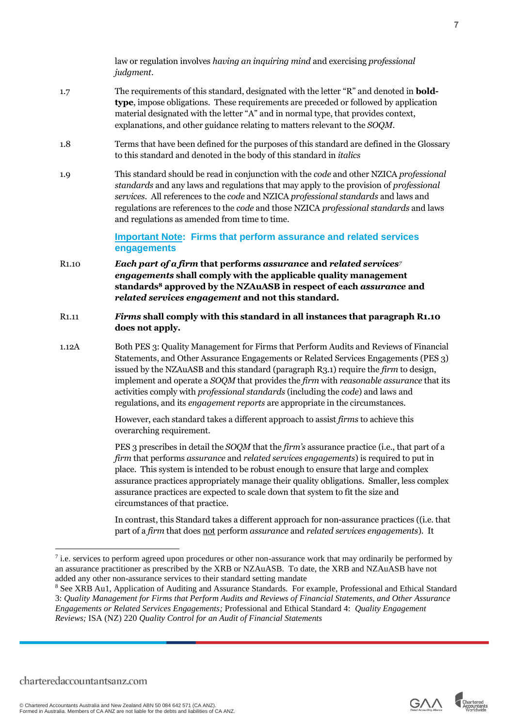law or regulation involves *having an inquiring mind* and exercising *professional judgment*.

- 1.7 The requirements of this standard, designated with the letter "R" and denoted in **boldtype**, impose obligations. These requirements are preceded or followed by application material designated with the letter "A" and in normal type, that provides context, explanations, and other guidance relating to matters relevant to the *SOQM*.
- 1.8 Terms that have been defined for the purposes of this standard are defined in the Glossary to this standard and denoted in the body of this standard in *italics*
- 1.9 This standard should be read in conjunction with the *code* and other NZICA *professional standards* and any laws and regulations that may apply to the provision of *professional services*. All references to the *code* and NZICA *professional standards* and laws and regulations are references to the *code* and those NZICA *professional standards* and laws and regulations as amended from time to time.

**Important Note: Firms that perform assurance and related services engagements**

- R1.10 *Each part of a firm* **that performs** *assurance* **and** *related services<sup>7</sup> engagements* **shall comply with the applicable quality management standards<sup>8</sup> approved by the NZAuASB in respect of each** *assurance* **and**  *related services engagement* **and not this standard.**
- R1.11 *Firms* **shall comply with this standard in all instances that paragraph R1.10 does not apply.**
- 1.12A Both PES 3: Quality Management for Firms that Perform Audits and Reviews of Financial Statements, and Other Assurance Engagements or Related Services Engagements (PES 3) issued by the NZAuASB and this standard (paragraph R3.1) require the *firm* to design, implement and operate a *SOQM* that provides the *firm* with *reasonable assurance* that its activities comply with *professional standards* (including the *code*) and laws and regulations, and its *engagement reports* are appropriate in the circumstances.

However, each standard takes a different approach to assist *firms* to achieve this overarching requirement.

PES 3 prescribes in detail the *SOQM* that the *firm's* assurance practice (i.e., that part of a *firm* that performs *assurance* and *related services engagements*) is required to put in place. This system is intended to be robust enough to ensure that large and complex assurance practices appropriately manage their quality obligations. Smaller, less complex assurance practices are expected to scale down that system to fit the size and circumstances of that practice.

In contrast, this Standard takes a different approach for non-assurance practices ((i.e. that part of a *firm* that does not perform *assurance* and *related services engagements*). It



 $<sup>7</sup>$  i.e. services to perform agreed upon procedures or other non-assurance work that may ordinarily be performed by</sup> an assurance practitioner as prescribed by the XRB or NZAuASB. To date, the XRB and NZAuASB have not added any other non-assurance services to their standard setting mandate

<sup>8</sup> See XRB Au1, Application of Auditing and Assurance Standards. For example, Professional and Ethical Standard 3: *Quality Management for Firms that Perform Audits and Reviews of Financial Statements, and Other Assurance Engagements or Related Services Engagements;* Professional and Ethical Standard 4: *Quality Engagement Reviews;* ISA (NZ) 220 *Quality Control for an Audit of Financial Statements*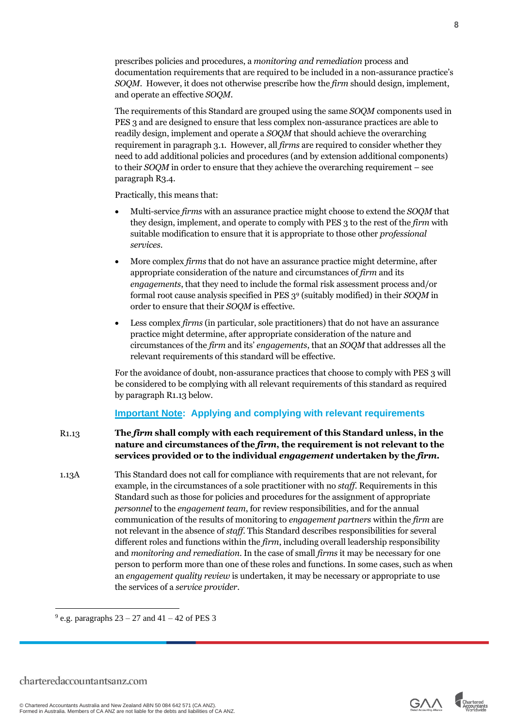prescribes policies and procedures, a *monitoring and remediation* process and documentation requirements that are required to be included in a non-assurance practice's *SOQM*. However, it does not otherwise prescribe how the *firm* should design, implement, and operate an effective *SOQM*.

The requirements of this Standard are grouped using the same *SOQM* components used in PES 3 and are designed to ensure that less complex non-assurance practices are able to readily design, implement and operate a *SOQM* that should achieve the overarching requirement in paragraph 3.1. However, all *firms* are required to consider whether they need to add additional policies and procedures (and by extension additional components) to their *SOQM* in order to ensure that they achieve the overarching requirement – see paragraph R3.4.

Practically, this means that:

- Multi-service *firms* with an assurance practice might choose to extend the *SOQM* that they design, implement, and operate to comply with PES 3 to the rest of the *firm* with suitable modification to ensure that it is appropriate to those other *professional services*.
- More complex *firms* that do not have an assurance practice might determine, after appropriate consideration of the nature and circumstances of *firm* and its *engagements*, that they need to include the formal risk assessment process and/or formal root cause analysis specified in PES 3<sup>9</sup> (suitably modified) in their *SOQM* in order to ensure that their *SOQM* is effective.
- Less complex *firms* (in particular, sole practitioners) that do not have an assurance practice might determine, after appropriate consideration of the nature and circumstances of the *firm* and its' *engagements*, that an *SOQM* that addresses all the relevant requirements of this standard will be effective.

For the avoidance of doubt, non-assurance practices that choose to comply with PES 3 will be considered to be complying with all relevant requirements of this standard as required by paragraph R1.13 below.

#### **Important Note: Applying and complying with relevant requirements**

- R1.13 **The** *firm* **shall comply with each requirement of this Standard unless, in the nature and circumstances of the** *firm***, the requirement is not relevant to the services provided or to the individual** *engagement* **undertaken by the** *firm***.**
- 1.13A This Standard does not call for compliance with requirements that are not relevant, for example, in the circumstances of a sole practitioner with no *staff*. Requirements in this Standard such as those for policies and procedures for the assignment of appropriate *personnel* to the *engagement team*, for review responsibilities, and for the annual communication of the results of monitoring to *engagement partners* within the *firm* are not relevant in the absence of *staff*. This Standard describes responsibilities for several different roles and functions within the *firm*, including overall leadership responsibility and *monitoring and remediation*. In the case of small *firms* it may be necessary for one person to perform more than one of these roles and functions. In some cases, such as when an *engagement quality review* is undertaken, it may be necessary or appropriate to use the services of a *service provider*.

 $9$  e.g. paragraphs  $23 - 27$  and  $41 - 42$  of PES 3

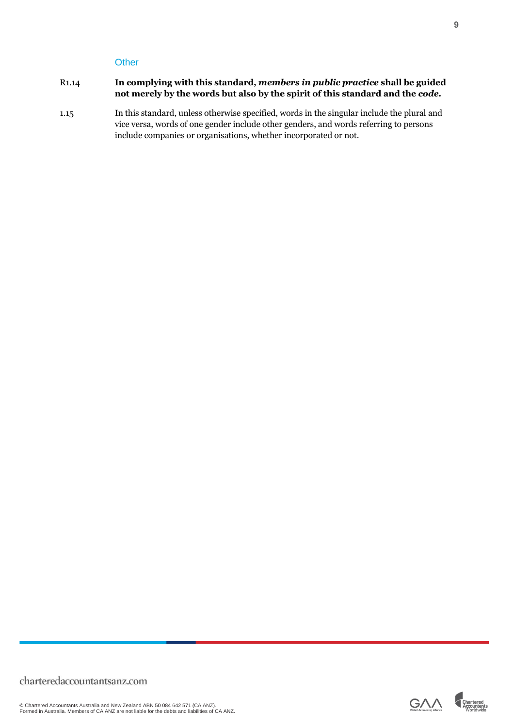#### **Other**

#### R1.14 **In complying with this standard,** *members in public practice* **shall be guided not merely by the words but also by the spirit of this standard and the** *code***.**

1.15 In this standard, unless otherwise specified, words in the singular include the plural and vice versa, words of one gender include other genders, and words referring to persons include companies or organisations, whether incorporated or not.

**9**

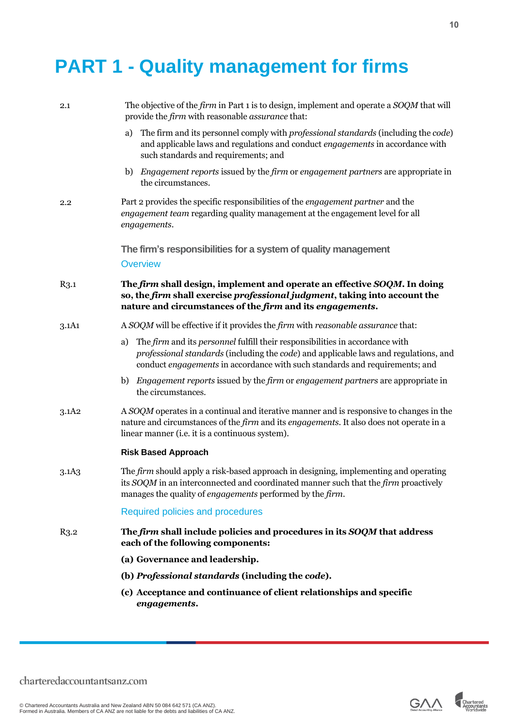# <span id="page-9-0"></span>**PART 1 - Quality management for firms**

<span id="page-9-1"></span>

| 2.1               | The objective of the firm in Part 1 is to design, implement and operate a SOQM that will<br>provide the <i>firm</i> with reasonable <i>assurance</i> that:                                                                                                |
|-------------------|-----------------------------------------------------------------------------------------------------------------------------------------------------------------------------------------------------------------------------------------------------------|
|                   | The firm and its personnel comply with professional standards (including the code)<br>a)<br>and applicable laws and regulations and conduct engagements in accordance with<br>such standards and requirements; and                                        |
|                   | <i>Engagement reports</i> issued by the <i>firm</i> or <i>engagement partners</i> are appropriate in<br>b)<br>the circumstances.                                                                                                                          |
| 2.2               | Part 2 provides the specific responsibilities of the <i>engagement partner</i> and the<br>engagement team regarding quality management at the engagement level for all<br>engagements.                                                                    |
|                   | The firm's responsibilities for a system of quality management<br><b>Overview</b>                                                                                                                                                                         |
| $R_{3.1}$         | The firm shall design, implement and operate an effective SOQM. In doing<br>so, the firm shall exercise professional judgment, taking into account the<br>nature and circumstances of the firm and its engagements.                                       |
| 3.1A1             | A SOQM will be effective if it provides the firm with reasonable assurance that:                                                                                                                                                                          |
|                   | The firm and its personnel fulfill their responsibilities in accordance with<br>a)<br>professional standards (including the code) and applicable laws and regulations, and<br>conduct engagements in accordance with such standards and requirements; and |
|                   | b) <i>Engagement reports</i> issued by the <i>firm</i> or <i>engagement partners</i> are appropriate in<br>the circumstances.                                                                                                                             |
| 3.1A2             | A SOQM operates in a continual and iterative manner and is responsive to changes in the<br>nature and circumstances of the <i>firm</i> and its <i>engagements</i> . It also does not operate in a<br>linear manner (i.e. it is a continuous system).      |
|                   | <b>Risk Based Approach</b>                                                                                                                                                                                                                                |
| 3.1A <sub>3</sub> | The firm should apply a risk-based approach in designing, implementing and operating<br>its SOQM in an interconnected and coordinated manner such that the firm proactively<br>manages the quality of <i>engagements</i> performed by the <i>firm</i> .   |
|                   | Required policies and procedures                                                                                                                                                                                                                          |
| R <sub>3.2</sub>  | The firm shall include policies and procedures in its SOQM that address<br>each of the following components:                                                                                                                                              |
|                   | (a) Governance and leadership.                                                                                                                                                                                                                            |
|                   | (b) Professional standards (including the code).                                                                                                                                                                                                          |
|                   | (c) Acceptance and continuance of client relationships and specific<br>engagements.                                                                                                                                                                       |

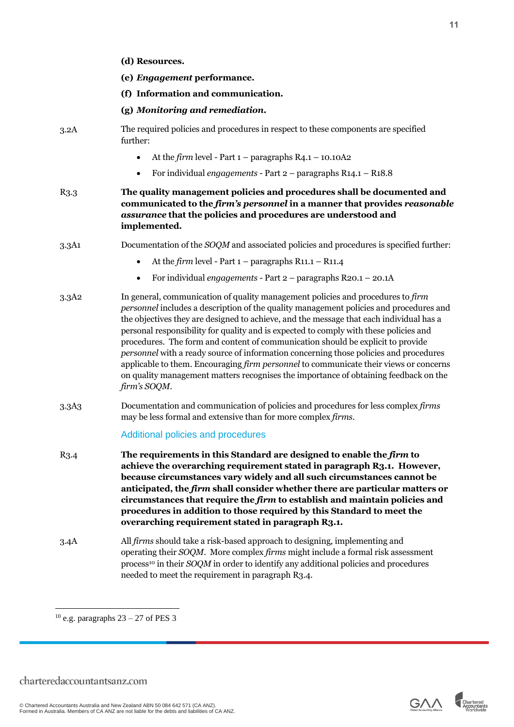|                  | (d) Resources.                                                                                                                                                                                                                                                                                                                                                                                                                                                                                                                                                                                                                                                                                                                             |
|------------------|--------------------------------------------------------------------------------------------------------------------------------------------------------------------------------------------------------------------------------------------------------------------------------------------------------------------------------------------------------------------------------------------------------------------------------------------------------------------------------------------------------------------------------------------------------------------------------------------------------------------------------------------------------------------------------------------------------------------------------------------|
|                  | (e) Engagement performance.                                                                                                                                                                                                                                                                                                                                                                                                                                                                                                                                                                                                                                                                                                                |
|                  | (f) Information and communication.                                                                                                                                                                                                                                                                                                                                                                                                                                                                                                                                                                                                                                                                                                         |
|                  | (g) Monitoring and remediation.                                                                                                                                                                                                                                                                                                                                                                                                                                                                                                                                                                                                                                                                                                            |
| 3.2A             | The required policies and procedures in respect to these components are specified<br>further:                                                                                                                                                                                                                                                                                                                                                                                                                                                                                                                                                                                                                                              |
|                  | At the firm level - Part $1$ – paragraphs R4.1 – 10.10A2<br>$\bullet$                                                                                                                                                                                                                                                                                                                                                                                                                                                                                                                                                                                                                                                                      |
|                  | For individual engagements - Part $2$ – paragraphs R14.1 – R18.8                                                                                                                                                                                                                                                                                                                                                                                                                                                                                                                                                                                                                                                                           |
| R3.3             | The quality management policies and procedures shall be documented and<br>communicated to the firm's personnel in a manner that provides reasonable<br>assurance that the policies and procedures are understood and<br>implemented.                                                                                                                                                                                                                                                                                                                                                                                                                                                                                                       |
| 3.3A1            | Documentation of the <i>SOQM</i> and associated policies and procedures is specified further:                                                                                                                                                                                                                                                                                                                                                                                                                                                                                                                                                                                                                                              |
|                  | At the firm level - Part $1$ – paragraphs R11.1 – R11.4<br>$\bullet$                                                                                                                                                                                                                                                                                                                                                                                                                                                                                                                                                                                                                                                                       |
|                  | For individual engagements - Part $2$ – paragraphs R20.1 – 20.1A<br>$\bullet$                                                                                                                                                                                                                                                                                                                                                                                                                                                                                                                                                                                                                                                              |
| 3.3A2            | In general, communication of quality management policies and procedures to firm<br>personnel includes a description of the quality management policies and procedures and<br>the objectives they are designed to achieve, and the message that each individual has a<br>personal responsibility for quality and is expected to comply with these policies and<br>procedures. The form and content of communication should be explicit to provide<br>personnel with a ready source of information concerning those policies and procedures<br>applicable to them. Encouraging firm personnel to communicate their views or concerns<br>on quality management matters recognises the importance of obtaining feedback on the<br>firm's SOQM. |
| 3.3A3            | Documentation and communication of policies and procedures for less complex firms<br>may be less formal and extensive than for more complex firms.                                                                                                                                                                                                                                                                                                                                                                                                                                                                                                                                                                                         |
|                  | Additional policies and procedures                                                                                                                                                                                                                                                                                                                                                                                                                                                                                                                                                                                                                                                                                                         |
| R <sub>3.4</sub> | The requirements in this Standard are designed to enable the firm to<br>achieve the overarching requirement stated in paragraph R3.1. However,<br>because circumstances vary widely and all such circumstances cannot be<br>anticipated, the firm shall consider whether there are particular matters or<br>circumstances that require the $f\bar{\imath}r m$ to establish and maintain policies and<br>procedures in addition to those required by this Standard to meet the<br>overarching requirement stated in paragraph R3.1.                                                                                                                                                                                                         |
| 3.4A             | All <i>firms</i> should take a risk-based approach to designing, implementing and<br>operating their SOQM. More complex firms might include a formal risk assessment<br>process <sup>10</sup> in their SOQM in order to identify any additional policies and procedures<br>needed to meet the requirement in paragraph R3.4.                                                                                                                                                                                                                                                                                                                                                                                                               |



 $^{10}$ e.g. paragraphs 23 – 27 of PES 3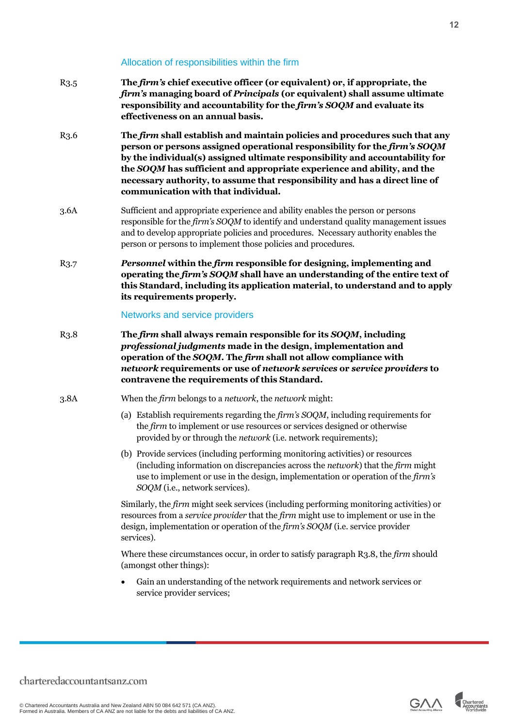#### Allocation of responsibilities within the firm

R3.5 **The** *firm's* **chief executive officer (or equivalent) or, if appropriate, the**  *firm's* **managing board of** *Principals* **(or equivalent) shall assume ultimate responsibility and accountability for the** *firm's SOQM* **and evaluate its effectiveness on an annual basis.** R3.6 **The** *firm* **shall establish and maintain policies and procedures such that any person or persons assigned operational responsibility for the** *firm's SOQM* **by the individual(s) assigned ultimate responsibility and accountability for the** *SOQM* **has sufficient and appropriate experience and ability, and the necessary authority, to assume that responsibility and has a direct line of communication with that individual.** 3.6A Sufficient and appropriate experience and ability enables the person or persons responsible for the *firm's SOQM* to identify and understand quality management issues and to develop appropriate policies and procedures. Necessary authority enables the person or persons to implement those policies and procedures. R3.7 *Personnel* **within the** *firm* **responsible for designing, implementing and operating the** *firm's SOQM* **shall have an understanding of the entire text of this Standard, including its application material, to understand and to apply its requirements properly.** Networks and service providers R3.8 **The** *firm* **shall always remain responsible for its** *SOQM***, including**  *professional judgments* **made in the design, implementation and operation of the** *SOQM***. The** *firm* **shall not allow compliance with**  *network* **requirements or use of** *network services* **or** *service providers* **to contravene the requirements of this Standard.** 3.8A When the *firm* belongs to a *network*, the *network* might: (a) Establish requirements regarding the *firm's SOQM*, including requirements for the *firm* to implement or use resources or services designed or otherwise provided by or through the *network* (i.e. network requirements); (b) Provide services (including performing monitoring activities) or resources (including information on discrepancies across the *network*) that the *firm* might use to implement or use in the design, implementation or operation of the *firm's SOQM* (i.e., network services). Similarly, the *firm* might seek services (including performing monitoring activities) or resources from a *service provider* that the *firm* might use to implement or use in the design, implementation or operation of the *firm's SOQM* (i.e. service provider services). Where these circumstances occur, in order to satisfy paragraph R3.8, the *firm* should (amongst other things): • Gain an understanding of the network requirements and network services or service provider services;

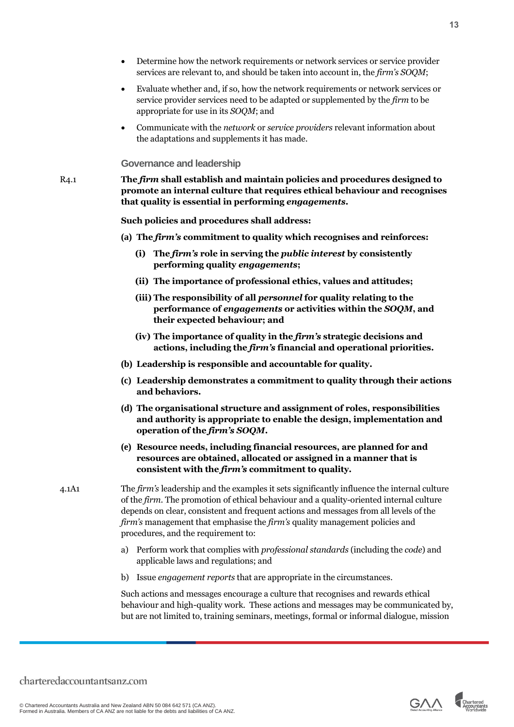- Determine how the network requirements or network services or service provider services are relevant to, and should be taken into account in, the *firm's SOQM*;
- Evaluate whether and, if so, how the network requirements or network services or service provider services need to be adapted or supplemented by the *firm* to be appropriate for use in its *SOQM*; and
- Communicate with the *network* or *service providers* relevant information about the adaptations and supplements it has made.

<span id="page-12-0"></span>**Governance and leadership**

R4.1 **The** *firm* **shall establish and maintain policies and procedures designed to promote an internal culture that requires ethical behaviour and recognises that quality is essential in performing** *engagements***.**

**Such policies and procedures shall address:** 

- **(a) The** *firm's* **commitment to quality which recognises and reinforces:** 
	- **(i) The** *firm's* **role in serving the** *public interest* **by consistently performing quality** *engagements***;**
	- **(ii) The importance of professional ethics, values and attitudes;**
	- **(iii) The responsibility of all** *personnel* **for quality relating to the performance of** *engagements* **or activities within the** *SOQM***, and their expected behaviour; and**
	- **(iv) The importance of quality in the** *firm's* **strategic decisions and actions, including the** *firm's* **financial and operational priorities.**
- **(b) Leadership is responsible and accountable for quality.**
- **(c) Leadership demonstrates a commitment to quality through their actions and behaviors.**
- **(d) The organisational structure and assignment of roles, responsibilities and authority is appropriate to enable the design, implementation and operation of the** *firm's SOQM***.**
- **(e) Resource needs, including financial resources, are planned for and resources are obtained, allocated or assigned in a manner that is consistent with the** *firm's* **commitment to quality.**
- 4.1A1 The *firm's* leadership and the examples it sets significantly influence the internal culture of the *firm*. The promotion of ethical behaviour and a quality-oriented internal culture depends on clear, consistent and frequent actions and messages from all levels of the *firm's* management that emphasise the *firm's* quality management policies and procedures, and the requirement to:
	- a) Perform work that complies with *professional standards* (including the *code*) and applicable laws and regulations; and
	- b) Issue *engagement reports* that are appropriate in the circumstances.

Such actions and messages encourage a culture that recognises and rewards ethical behaviour and high-quality work. These actions and messages may be communicated by, but are not limited to, training seminars, meetings, formal or informal dialogue, mission

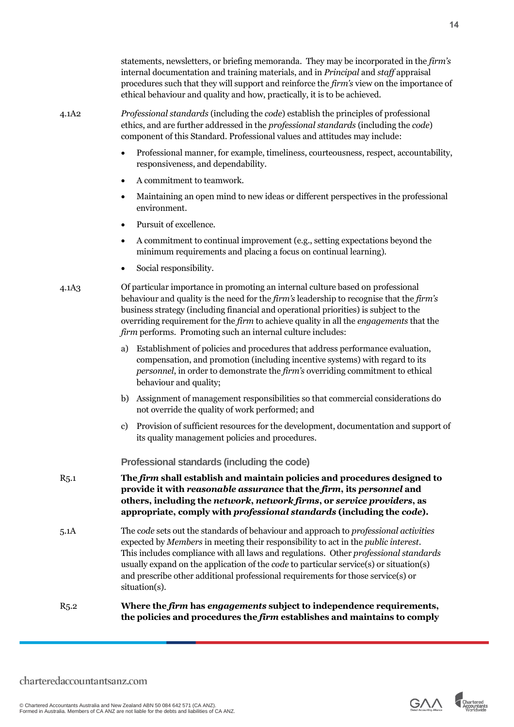|                   | statements, newsletters, or briefing memoranda. They may be incorporated in the <i>firm's</i><br>internal documentation and training materials, and in Principal and staff appraisal<br>procedures such that they will support and reinforce the firm's view on the importance of<br>ethical behaviour and quality and how, practically, it is to be achieved.                                                                                                    |
|-------------------|-------------------------------------------------------------------------------------------------------------------------------------------------------------------------------------------------------------------------------------------------------------------------------------------------------------------------------------------------------------------------------------------------------------------------------------------------------------------|
| 4.1A2             | Professional standards (including the code) establish the principles of professional<br>ethics, and are further addressed in the professional standards (including the code)<br>component of this Standard. Professional values and attitudes may include:                                                                                                                                                                                                        |
|                   | Professional manner, for example, timeliness, courteousness, respect, accountability,<br>$\bullet$<br>responsiveness, and dependability.                                                                                                                                                                                                                                                                                                                          |
|                   | A commitment to teamwork.<br>٠                                                                                                                                                                                                                                                                                                                                                                                                                                    |
|                   | Maintaining an open mind to new ideas or different perspectives in the professional<br>٠<br>environment.                                                                                                                                                                                                                                                                                                                                                          |
|                   | Pursuit of excellence.<br>$\bullet$                                                                                                                                                                                                                                                                                                                                                                                                                               |
|                   | A commitment to continual improvement (e.g., setting expectations beyond the<br>$\bullet$<br>minimum requirements and placing a focus on continual learning).                                                                                                                                                                                                                                                                                                     |
|                   | Social responsibility.                                                                                                                                                                                                                                                                                                                                                                                                                                            |
| 4.1A <sub>3</sub> | Of particular importance in promoting an internal culture based on professional<br>behaviour and quality is the need for the firm's leadership to recognise that the firm's<br>business strategy (including financial and operational priorities) is subject to the<br>overriding requirement for the firm to achieve quality in all the engagements that the<br>firm performs. Promoting such an internal culture includes:                                      |
|                   | Establishment of policies and procedures that address performance evaluation,<br>a)<br>compensation, and promotion (including incentive systems) with regard to its<br>personnel, in order to demonstrate the firm's overriding commitment to ethical<br>behaviour and quality;                                                                                                                                                                                   |
|                   | Assignment of management responsibilities so that commercial considerations do<br>b)<br>not override the quality of work performed; and                                                                                                                                                                                                                                                                                                                           |
|                   | Provision of sufficient resources for the development, documentation and support of<br>$\mathbf{c}$<br>its quality management policies and procedures.                                                                                                                                                                                                                                                                                                            |
|                   | Professional standards (including the code)                                                                                                                                                                                                                                                                                                                                                                                                                       |
| R <sub>5.1</sub>  | The firm shall establish and maintain policies and procedures designed to<br>provide it with reasonable assurance that the firm, its personnel and<br>others, including the network, network firms, or service providers, as<br>appropriate, comply with <i>professional standards</i> (including the <i>code</i> ).                                                                                                                                              |
| 5.1A              | The code sets out the standards of behaviour and approach to professional activities<br>expected by Members in meeting their responsibility to act in the public interest.<br>This includes compliance with all laws and regulations. Other professional standards<br>usually expand on the application of the code to particular service(s) or situation(s)<br>and prescribe other additional professional requirements for those service(s) or<br>situation(s). |
| R <sub>5.2</sub>  | Where the firm has engagements subject to independence requirements,<br>the policies and procedures the firm establishes and maintains to comply                                                                                                                                                                                                                                                                                                                  |

<span id="page-13-0"></span>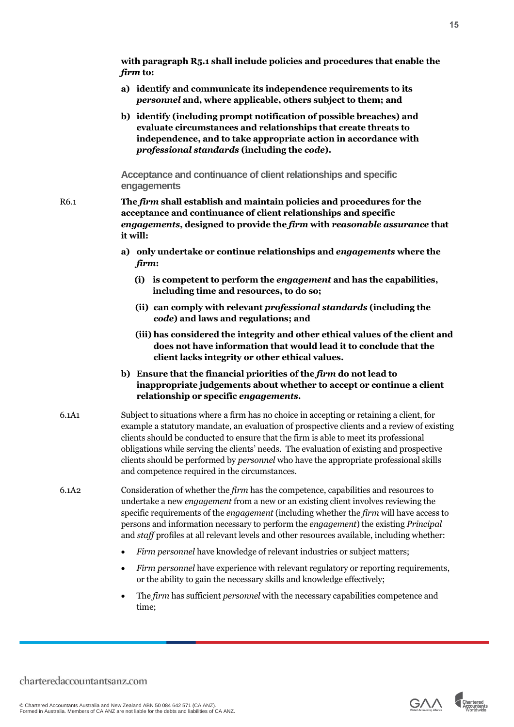**with paragraph R5.1 shall include policies and procedures that enable the**  *firm* **to:** 

- **a) identify and communicate its independence requirements to its**  *personnel* **and, where applicable, others subject to them; and**
- **b) identify (including prompt notification of possible breaches) and evaluate circumstances and relationships that create threats to independence, and to take appropriate action in accordance with** *professional standards* **(including the** *code***).**

<span id="page-14-0"></span>**Acceptance and continuance of client relationships and specific engagements**

- R6.1 **The** *firm* **shall establish and maintain policies and procedures for the acceptance and continuance of client relationships and specific**  *engagements***, designed to provide the** *firm* **with** *reasonable assurance* **that it will:**
	- **a) only undertake or continue relationships and** *engagements* **where the**  *firm***:** 
		- **(i) is competent to perform the** *engagement* **and has the capabilities, including time and resources, to do so;**
		- **(ii) can comply with relevant** *professional standards* **(including the**  *code***) and laws and regulations; and**
		- **(iii) has considered the integrity and other ethical values of the client and does not have information that would lead it to conclude that the client lacks integrity or other ethical values.**
	- **b) Ensure that the financial priorities of the** *firm* **do not lead to inappropriate judgements about whether to accept or continue a client relationship or specific** *engagements***.**
- 6.1A1 Subject to situations where a firm has no choice in accepting or retaining a client, for example a statutory mandate, an evaluation of prospective clients and a review of existing clients should be conducted to ensure that the firm is able to meet its professional obligations while serving the clients' needs. The evaluation of existing and prospective clients should be performed by *personnel* who have the appropriate professional skills and competence required in the circumstances.
- 6.1A2 Consideration of whether the *firm* has the competence, capabilities and resources to undertake a new *engagement* from a new or an existing client involves reviewing the specific requirements of the *engagement* (including whether the *firm* will have access to persons and information necessary to perform the *engagement*) the existing *Principal* and *staff* profiles at all relevant levels and other resources available, including whether:
	- *Firm personnel* have knowledge of relevant industries or subject matters;
	- *Firm personnel* have experience with relevant regulatory or reporting requirements, or the ability to gain the necessary skills and knowledge effectively;
	- The *firm* has sufficient *personnel* with the necessary capabilities competence and time;

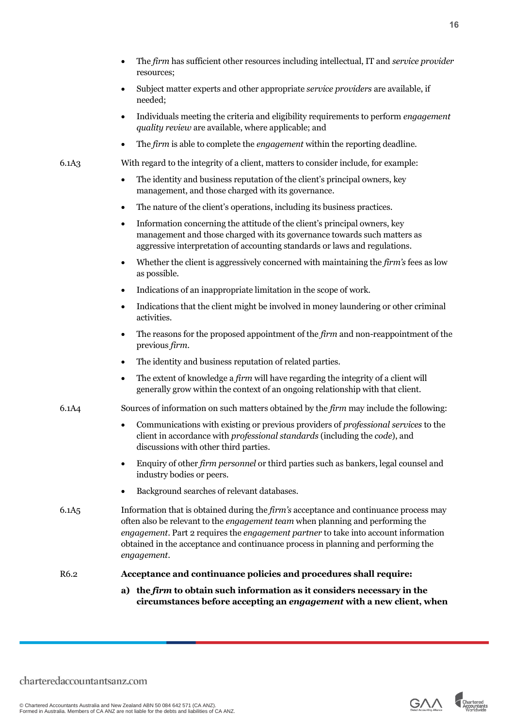- The *firm* has sufficient other resources including intellectual, IT and *service provider* resources;
- Subject matter experts and other appropriate *service providers* are available, if needed;
- Individuals meeting the criteria and eligibility requirements to perform *engagement quality review* are available, where applicable; and
- The *firm* is able to complete the *engagement* within the reporting deadline.
- 6.1A3 With regard to the integrity of a client, matters to consider include, for example:
	- The identity and business reputation of the client's principal owners, key management, and those charged with its governance.
	- The nature of the client's operations, including its business practices.
	- Information concerning the attitude of the client's principal owners, key management and those charged with its governance towards such matters as aggressive interpretation of accounting standards or laws and regulations.
	- Whether the client is aggressively concerned with maintaining the *firm's* fees as low as possible.
	- Indications of an inappropriate limitation in the scope of work.
	- Indications that the client might be involved in money laundering or other criminal activities.
	- The reasons for the proposed appointment of the *firm* and non-reappointment of the previous *firm*.
	- The identity and business reputation of related parties.
	- The extent of knowledge a *firm* will have regarding the integrity of a client will generally grow within the context of an ongoing relationship with that client.
- 6.1A4 Sources of information on such matters obtained by the *firm* may include the following:
	- Communications with existing or previous providers of *professional services* to the client in accordance with *professional standards* (including the *code*), and discussions with other third parties.
	- Enquiry of other *firm personnel* or third parties such as bankers, legal counsel and industry bodies or peers.
	- Background searches of relevant databases.
- 6.1A5 Information that is obtained during the *firm's* acceptance and continuance process may often also be relevant to the *engagement team* when planning and performing the *engagement*. Part 2 requires the *engagement partner* to take into account information obtained in the acceptance and continuance process in planning and performing the *engagement*.

#### R6.2 **Acceptance and continuance policies and procedures shall require:**

**a) the** *firm* **to obtain such information as it considers necessary in the circumstances before accepting an** *engagement* **with a new client, when** 

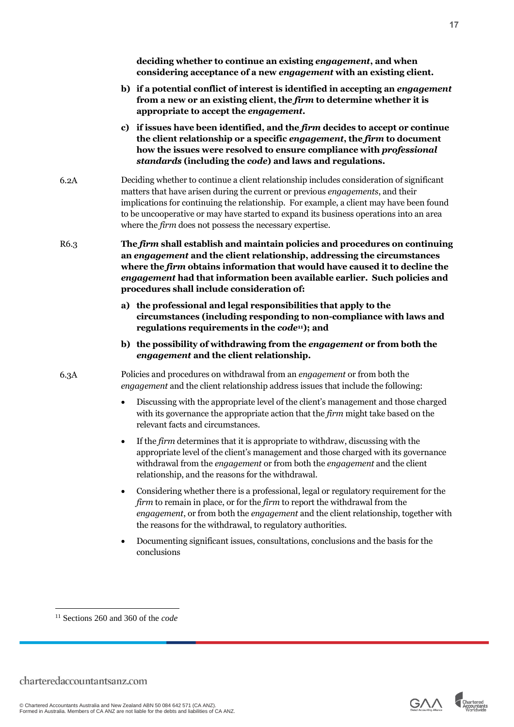**deciding whether to continue an existing** *engagement***, and when considering acceptance of a new** *engagement* **with an existing client.** 

- **b) if a potential conflict of interest is identified in accepting an** *engagement* **from a new or an existing client, the** *firm* **to determine whether it is appropriate to accept the** *engagement***.**
- **c) if issues have been identified, and the** *firm* **decides to accept or continue the client relationship or a specific** *engagement***, the** *firm* **to document how the issues were resolved to ensure compliance with** *professional standards* **(including the** *code***) and laws and regulations.**
- 6.2A Deciding whether to continue a client relationship includes consideration of significant matters that have arisen during the current or previous *engagements*, and their implications for continuing the relationship. For example, a client may have been found to be uncooperative or may have started to expand its business operations into an area where the *firm* does not possess the necessary expertise.

R6.3 **The** *firm* **shall establish and maintain policies and procedures on continuing an** *engagement* **and the client relationship, addressing the circumstances where the** *firm* **obtains information that would have caused it to decline the**  *engagement* **had that information been available earlier. Such policies and procedures shall include consideration of:**

- **a) the professional and legal responsibilities that apply to the circumstances (including responding to non-compliance with laws and regulations requirements in the** *code***11); and**
- **b) the possibility of withdrawing from the** *engagement* **or from both the**  *engagement* **and the client relationship.**

6.3A Policies and procedures on withdrawal from an *engagement* or from both the *engagement* and the client relationship address issues that include the following:

- Discussing with the appropriate level of the client's management and those charged with its governance the appropriate action that the *firm* might take based on the relevant facts and circumstances.
- If the *firm* determines that it is appropriate to withdraw, discussing with the appropriate level of the client's management and those charged with its governance withdrawal from the *engagement* or from both the *engagement* and the client relationship, and the reasons for the withdrawal.
- Considering whether there is a professional, legal or regulatory requirement for the *firm* to remain in place, or for the *firm* to report the withdrawal from the *engagement*, or from both the *engagement* and the client relationship, together with the reasons for the withdrawal, to regulatory authorities.
- Documenting significant issues, consultations, conclusions and the basis for the conclusions





<sup>11</sup> Sections 260 and 360 of the *code*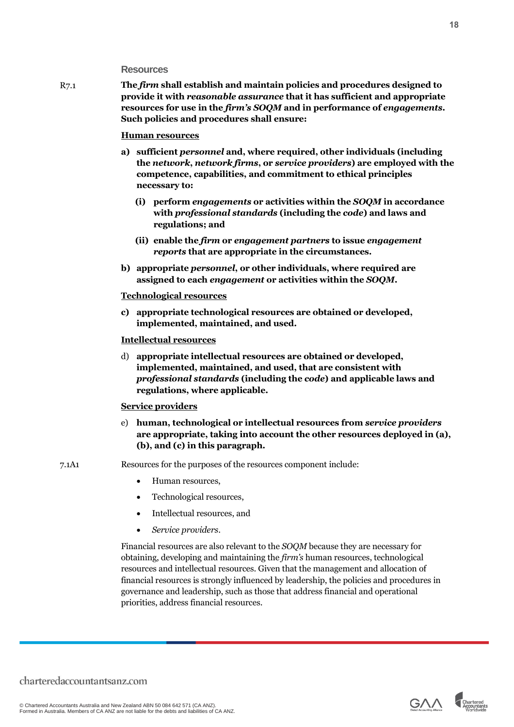### <span id="page-17-0"></span>**Resources**

R7.1 **The** *firm* **shall establish and maintain policies and procedures designed to provide it with** *reasonable assurance* **that it has sufficient and appropriate resources for use in the** *firm's SOQM* **and in performance of** *engagements***. Such policies and procedures shall ensure:**

#### **Human resources**

- **a) sufficient** *personnel* **and, where required, other individuals (including the** *network***,** *network firms***, or** *service providers***) are employed with the competence, capabilities, and commitment to ethical principles necessary to:**
	- **(i) perform** *engagements* **or activities within the** *SOQM* **in accordance with** *professional standards* **(including the** *code***) and laws and regulations; and**
	- **(ii) enable the** *firm* **or** *engagement partners* **to issue** *engagement reports* **that are appropriate in the circumstances.**
- **b) appropriate** *personnel***, or other individuals, where required are assigned to each** *engagement* **or activities within the** *SOQM***.**

#### **Technological resources**

**c) appropriate technological resources are obtained or developed, implemented, maintained, and used.**

#### **Intellectual resources**

d) **appropriate intellectual resources are obtained or developed, implemented, maintained, and used, that are consistent with**  *professional standards* **(including the** *code***) and applicable laws and regulations, where applicable.**

#### **Service providers**

- e) **human, technological or intellectual resources from** *service providers* **are appropriate, taking into account the other resources deployed in (a), (b), and (c) in this paragraph.**
- 7.1A1 Resources for the purposes of the resources component include:
	- Human resources,
	- Technological resources,
	- Intellectual resources, and
	- *Service providers*.

Financial resources are also relevant to the *SOQM* because they are necessary for obtaining, developing and maintaining the *firm's* human resources, technological resources and intellectual resources. Given that the management and allocation of financial resources is strongly influenced by leadership, the policies and procedures in governance and leadership, such as those that address financial and operational priorities, address financial resources.

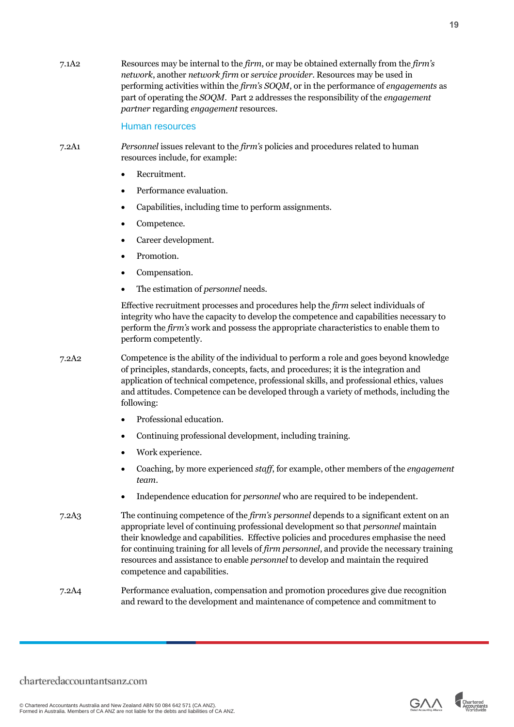7.1A2 Resources may be internal to the *firm*, or may be obtained externally from the *firm's network*, another *network firm* or *service provider*. Resources may be used in performing activities within the *firm's SOQM*, or in the performance of *engagements* as part of operating the *SOQM*. Part 2 addresses the responsibility of the *engagement partner* regarding *engagement* resources.

#### Human resources

- 7.2A1 *Personnel* issues relevant to the *firm's* policies and procedures related to human resources include, for example:
	- Recruitment.
	- Performance evaluation.
	- Capabilities, including time to perform assignments.
	- Competence.
	- Career development.
	- Promotion.
	- Compensation.
	- The estimation of *personnel* needs.

Effective recruitment processes and procedures help the *firm* select individuals of integrity who have the capacity to develop the competence and capabilities necessary to perform the *firm's* work and possess the appropriate characteristics to enable them to perform competently.

- 7.2A2 Competence is the ability of the individual to perform a role and goes beyond knowledge of principles, standards, concepts, facts, and procedures; it is the integration and application of technical competence, professional skills, and professional ethics, values and attitudes. Competence can be developed through a variety of methods, including the following:
	- Professional education.
	- Continuing professional development, including training.
	- Work experience.
	- Coaching, by more experienced *staff*, for example, other members of the *engagement team*.
	- Independence education for *personnel* who are required to be independent.
- 7.2A3 The continuing competence of the *firm's personnel* depends to a significant extent on an appropriate level of continuing professional development so that *personnel* maintain their knowledge and capabilities. Effective policies and procedures emphasise the need for continuing training for all levels of *firm personnel*, and provide the necessary training resources and assistance to enable *personnel* to develop and maintain the required competence and capabilities.
- 7.2A4 Performance evaluation, compensation and promotion procedures give due recognition and reward to the development and maintenance of competence and commitment to



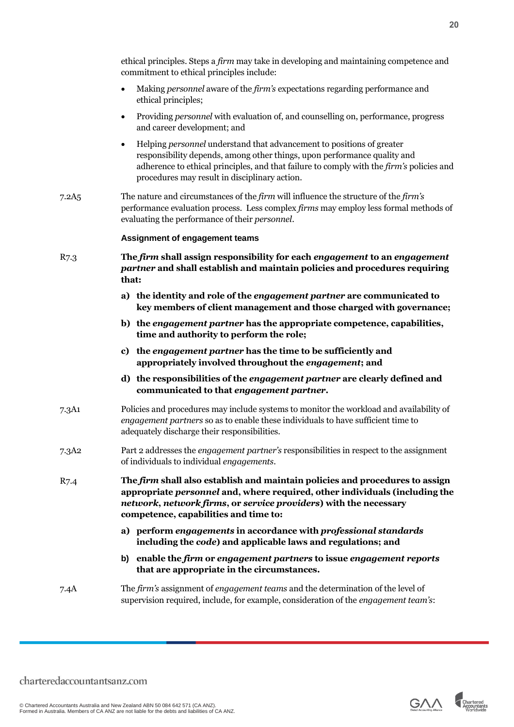| ethical principles. Steps a <i>firm</i> may take in developing and maintaining competence and<br>commitment to ethical principles include: |
|--------------------------------------------------------------------------------------------------------------------------------------------|
| Making <i>personnel</i> aware of the <i>firm's</i> expectations regarding performance and<br>ethical principles;                           |

- Providing *personnel* with evaluation of, and counselling on, performance, progress and career development; and
- Helping *personnel* understand that advancement to positions of greater responsibility depends, among other things, upon performance quality and adherence to ethical principles, and that failure to comply with the *firm's* policies and procedures may result in disciplinary action.
- 7.2A5 The nature and circumstances of the *firm* will influence the structure of the *firm's* performance evaluation process. Less complex *firms* may employ less formal methods of evaluating the performance of their *personnel*.

#### **Assignment of engagement teams**

- R7.3 **The** *firm* **shall assign responsibility for each** *engagement* **to an** *engagement partner* **and shall establish and maintain policies and procedures requiring that:**
	- **a) the identity and role of the** *engagement partner* **are communicated to key members of client management and those charged with governance;**
	- **b) the** *engagement partner* **has the appropriate competence, capabilities, time and authority to perform the role;**
	- **c) the** *engagement partner* **has the time to be sufficiently and appropriately involved throughout the** *engagement***; and**
	- **d) the responsibilities of the** *engagement partner* **are clearly defined and communicated to that** *engagement partner***.**
- 7.3A1 Policies and procedures may include systems to monitor the workload and availability of *engagement partners* so as to enable these individuals to have sufficient time to adequately discharge their responsibilities.
- 7.3A2 Part 2 addresses the *engagement partner's* responsibilities in respect to the assignment of individuals to individual *engagements*.
- R7.4 **The** *firm* **shall also establish and maintain policies and procedures to assign appropriate** *personnel* **and, where required, other individuals (including the**  *network***,** *network firms***, or** *service providers***) with the necessary competence, capabilities and time to:**
	- **a) perform** *engagements* **in accordance with** *professional standards* **including the** *code***) and applicable laws and regulations; and**
	- **b) enable the** *firm* **or** *engagement partners* **to issue** *engagement reports* **that are appropriate in the circumstances.**
- 7.4A The *firm's* assignment of *engagement teams* and the determination of the level of supervision required, include, for example, consideration of the *engagement team's*:

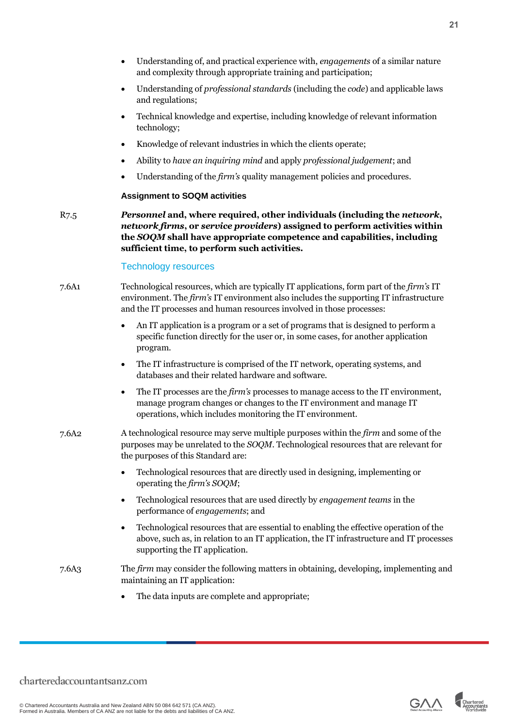- Understanding of, and practical experience with, *engagements* of a similar nature and complexity through appropriate training and participation;
- Understanding of *professional standards* (including the *code*) and applicable laws and regulations;
- Technical knowledge and expertise, including knowledge of relevant information technology;
- Knowledge of relevant industries in which the clients operate;
- Ability to *have an inquiring mind* and apply *professional judgement*; and
- Understanding of the *firm's* quality management policies and procedures.

#### **Assignment to SOQM activities**

R7.5 *Personnel* **and, where required, other individuals (including the** *network***,**  *network firms***, or** *service providers***) assigned to perform activities within the** *SOQM* **shall have appropriate competence and capabilities, including sufficient time, to perform such activities.**

#### Technology resources

- 7.6A1 Technological resources, which are typically IT applications, form part of the *firm's* IT environment. The *firm's* IT environment also includes the supporting IT infrastructure and the IT processes and human resources involved in those processes:
	- An IT application is a program or a set of programs that is designed to perform a specific function directly for the user or, in some cases, for another application program.
	- The IT infrastructure is comprised of the IT network, operating systems, and databases and their related hardware and software.
	- The IT processes are the *firm's* processes to manage access to the IT environment, manage program changes or changes to the IT environment and manage IT operations, which includes monitoring the IT environment.
- 7.6A2 A technological resource may serve multiple purposes within the *firm* and some of the purposes may be unrelated to the *SOQM*. Technological resources that are relevant for the purposes of this Standard are:
	- Technological resources that are directly used in designing, implementing or operating the *firm's SOQM*;
	- Technological resources that are used directly by *engagement teams* in the performance of *engagements*; and
	- Technological resources that are essential to enabling the effective operation of the above, such as, in relation to an IT application, the IT infrastructure and IT processes supporting the IT application.
- 7.6A3 The *firm* may consider the following matters in obtaining, developing, implementing and maintaining an IT application:
	- The data inputs are complete and appropriate;



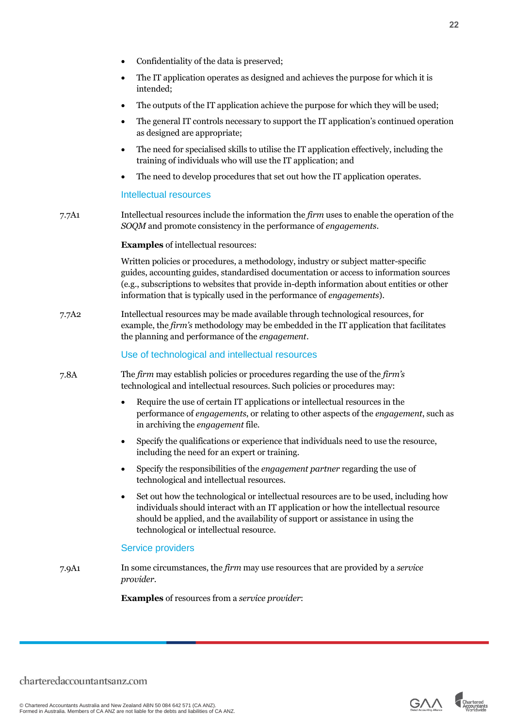• The IT application operates as designed and achieves the purpose for which it is intended;

• Confidentiality of the data is preserved;

- The outputs of the IT application achieve the purpose for which they will be used;
- The general IT controls necessary to support the IT application's continued operation as designed are appropriate;
- The need for specialised skills to utilise the IT application effectively, including the training of individuals who will use the IT application; and
- The need to develop procedures that set out how the IT application operates.

#### Intellectual resources

7.7A1 Intellectual resources include the information the *firm* uses to enable the operation of the *SOQM* and promote consistency in the performance of *engagements*.

#### **Examples** of intellectual resources:

Written policies or procedures, a methodology, industry or subject matter-specific guides, accounting guides, standardised documentation or access to information sources (e.g., subscriptions to websites that provide in-depth information about entities or other information that is typically used in the performance of *engagements*).

7.7A2 Intellectual resources may be made available through technological resources, for example, the *firm's* methodology may be embedded in the IT application that facilitates the planning and performance of the *engagement*.

#### Use of technological and intellectual resources

- 7.8A The *firm* may establish policies or procedures regarding the use of the *firm's* technological and intellectual resources. Such policies or procedures may:
	- Require the use of certain IT applications or intellectual resources in the performance of *engagements*, or relating to other aspects of the *engagement*, such as in archiving the *engagement* file.
	- Specify the qualifications or experience that individuals need to use the resource, including the need for an expert or training.
	- Specify the responsibilities of the *engagement partner* regarding the use of technological and intellectual resources.
	- Set out how the technological or intellectual resources are to be used, including how individuals should interact with an IT application or how the intellectual resource should be applied, and the availability of support or assistance in using the technological or intellectual resource.

#### Service providers

7.9A1 In some circumstances, the *firm* may use resources that are provided by a *service provider*.

**Examples** of resources from a *service provider*:



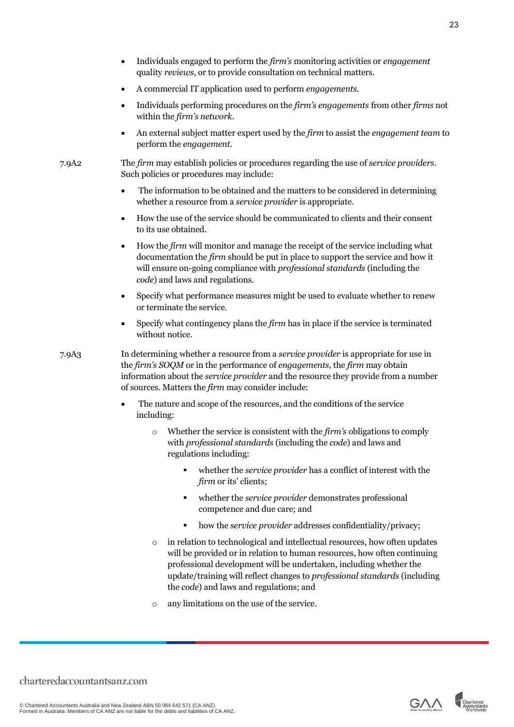- Individuals engaged to perform the *firm's* monitoring activities or *engagement*  quality *reviews*, or to provide consultation on technical matters.
- A commercial IT application used to perform *engagements*.
- Individuals performing procedures on the *firm's engagements* from other *firms* not within the *firm's network*.
- An external subject matter expert used by the *firm* to assist the *engagement team* to perform the *engagement*.

7.9A2 The *firm* may establish policies or procedures regarding the use of *service providers*. Such policies or procedures may include:

- The information to be obtained and the matters to be considered in determining whether a resource from a *service provider* is appropriate.
- How the use of the service should be communicated to clients and their consent to its use obtained.
- How the *firm* will monitor and manage the receipt of the service including what documentation the *firm* should be put in place to support the service and how it will ensure on-going compliance with *professional standards* (including the *code*) and laws and regulations.
- Specify what performance measures might be used to evaluate whether to renew or terminate the service.
- Specify what contingency plans the *firm* has in place if the service is terminated without notice.

7.9A3 In determining whether a resource from a *service provider* is appropriate for use in the *firm's SOQM* or in the performance of *engagements*, the *firm* may obtain information about the *service provider* and the resource they provide from a number of sources. Matters the *firm* may consider include:

- The nature and scope of the resources, and the conditions of the service including:
	- o Whether the service is consistent with the *firm's* obligations to comply with *professional standards* (including the *code*) and laws and regulations including:
		- whether the *service provider* has a conflict of interest with the *firm* or its' clients;
		- whether the *service provider* demonstrates professional competence and due care; and
		- how the *service provider* addresses confidentiality/privacy;
	- o in relation to technological and intellectual resources, how often updates will be provided or in relation to human resources, how often continuing professional development will be undertaken, including whether the update/training will reflect changes to *professional standards* (including the *code*) and laws and regulations; and
	- o any limitations on the use of the service.

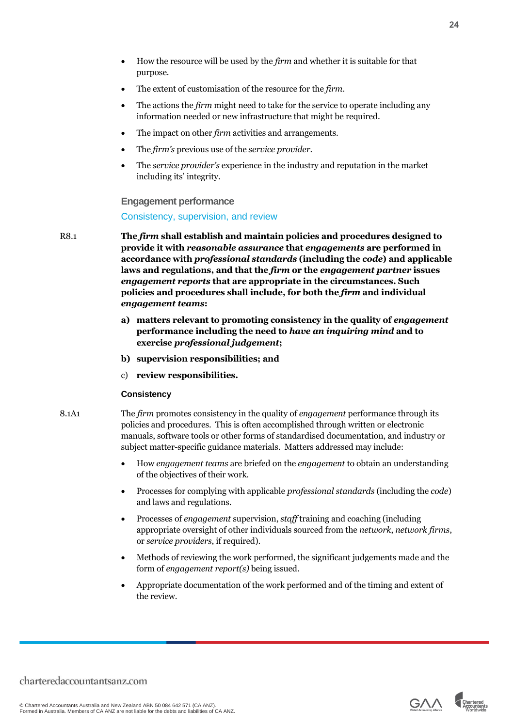- How the resource will be used by the *firm* and whether it is suitable for that purpose.
- The extent of customisation of the resource for the *firm*.
- The actions the *firm* might need to take for the service to operate including any information needed or new infrastructure that might be required.
- The impact on other *firm* activities and arrangements.
- The *firm's* previous use of the *service provider*.
- The *service provider's* experience in the industry and reputation in the market including its' integrity.

#### <span id="page-23-0"></span>**Engagement performance**

Consistency, supervision, and review

- R8.1 **The** *firm* **shall establish and maintain policies and procedures designed to provide it with** *reasonable assurance* **that** *engagements* **are performed in accordance with** *professional standards* **(including the** *code***) and applicable laws and regulations, and that the** *firm* **or the** *engagement partner* **issues**  *engagement reports* **that are appropriate in the circumstances. Such policies and procedures shall include, for both the** *firm* **and individual**  *engagement teams***:** 
	- **a) matters relevant to promoting consistency in the quality of** *engagement* **performance including the need to** *have an inquiring mind* **and to exercise** *professional judgement***;**
	- **b) supervision responsibilities; and**
	- c) **review responsibilities.**

#### **Consistency**

- 8.1A1 The *firm* promotes consistency in the quality of *engagement* performance through its policies and procedures. This is often accomplished through written or electronic manuals, software tools or other forms of standardised documentation, and industry or subject matter-specific guidance materials. Matters addressed may include:
	- How *engagement teams* are briefed on the *engagement* to obtain an understanding of the objectives of their work.
	- Processes for complying with applicable *professional standards* (including the *code*) and laws and regulations.
	- Processes of *engagement* supervision, *staff* training and coaching (including appropriate oversight of other individuals sourced from the *network*, *network firms*, or *service providers*, if required).
	- Methods of reviewing the work performed, the significant judgements made and the form of *engagement report(s)* being issued.
	- Appropriate documentation of the work performed and of the timing and extent of the review.



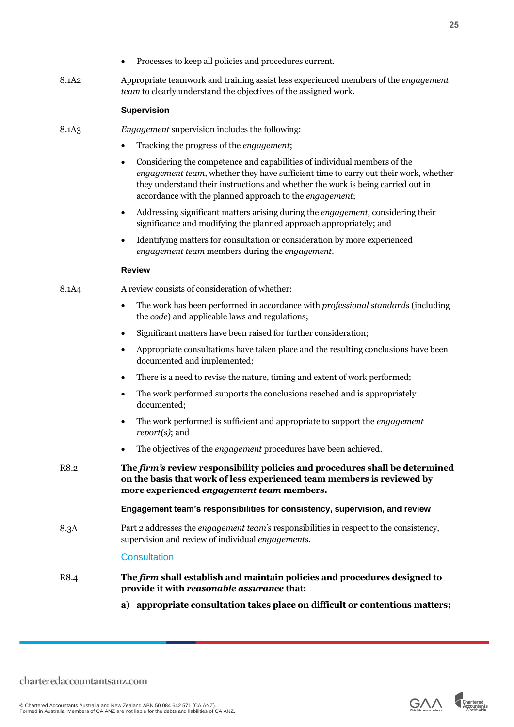8.1A2 Appropriate teamwork and training assist less experienced members of the *engagement team* to clearly understand the objectives of the assigned work.

#### **Supervision**

- 8.1A3 *Engagement* supervision includes the following:
	- Tracking the progress of the *engagement*;
	- Considering the competence and capabilities of individual members of the *engagement team*, whether they have sufficient time to carry out their work, whether they understand their instructions and whether the work is being carried out in accordance with the planned approach to the *engagement*;
	- Addressing significant matters arising during the *engagement*, considering their significance and modifying the planned approach appropriately; and
	- Identifying matters for consultation or consideration by more experienced *engagement team* members during the *engagement*.

#### **Review**

- 8.1A4 A review consists of consideration of whether:
	- The work has been performed in accordance with *professional standards* (including the *code*) and applicable laws and regulations;
	- Significant matters have been raised for further consideration;
	- Appropriate consultations have taken place and the resulting conclusions have been documented and implemented;
	- There is a need to revise the nature, timing and extent of work performed;
	- The work performed supports the conclusions reached and is appropriately documented;
	- The work performed is sufficient and appropriate to support the *engagement report(s)*; and
	- The objectives of the *engagement* procedures have been achieved.
- R8.2 **The** *firm's* **review responsibility policies and procedures shall be determined on the basis that work of less experienced team members is reviewed by more experienced** *engagement team* **members.**

**Engagement team's responsibilities for consistency, supervision, and review**

8.3A Part 2 addresses the *engagement team's* responsibilities in respect to the consistency, supervision and review of individual *engagements*.

#### **Consultation**

- R8.4 **The** *firm* **shall establish and maintain policies and procedures designed to provide it with** *reasonable assurance* **that:**
	- **a) appropriate consultation takes place on difficult or contentious matters;**

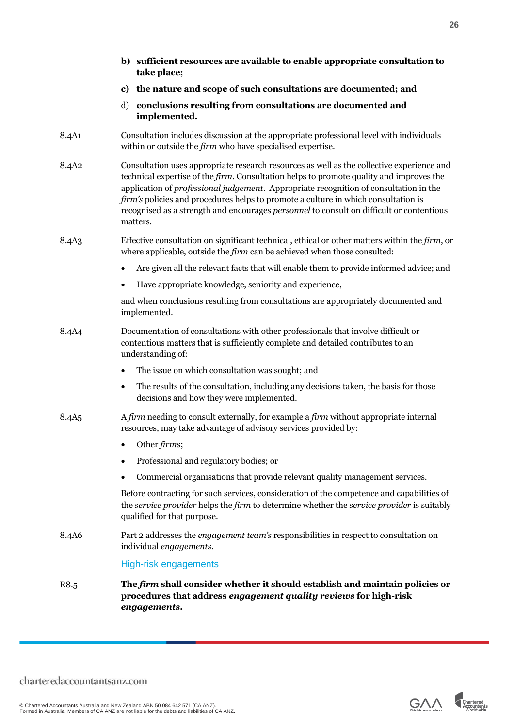|                   |           | b) sufficient resources are available to enable appropriate consultation to<br>take place;                                                                                                                                                                                                                                                                                                                                                                                          |
|-------------------|-----------|-------------------------------------------------------------------------------------------------------------------------------------------------------------------------------------------------------------------------------------------------------------------------------------------------------------------------------------------------------------------------------------------------------------------------------------------------------------------------------------|
|                   |           | c) the nature and scope of such consultations are documented; and                                                                                                                                                                                                                                                                                                                                                                                                                   |
|                   | d)        | conclusions resulting from consultations are documented and<br>implemented.                                                                                                                                                                                                                                                                                                                                                                                                         |
| 8.4A1             |           | Consultation includes discussion at the appropriate professional level with individuals<br>within or outside the <i>firm</i> who have specialised expertise.                                                                                                                                                                                                                                                                                                                        |
| 8.4A <sub>2</sub> |           | Consultation uses appropriate research resources as well as the collective experience and<br>technical expertise of the <i>firm</i> . Consultation helps to promote quality and improves the<br>application of professional judgement. Appropriate recognition of consultation in the<br>firm's policies and procedures helps to promote a culture in which consultation is<br>recognised as a strength and encourages personnel to consult on difficult or contentious<br>matters. |
| 8.4A <sub>3</sub> |           | Effective consultation on significant technical, ethical or other matters within the firm, or<br>where applicable, outside the firm can be achieved when those consulted:                                                                                                                                                                                                                                                                                                           |
|                   | $\bullet$ | Are given all the relevant facts that will enable them to provide informed advice; and                                                                                                                                                                                                                                                                                                                                                                                              |
|                   |           | Have appropriate knowledge, seniority and experience,                                                                                                                                                                                                                                                                                                                                                                                                                               |
|                   |           | and when conclusions resulting from consultations are appropriately documented and<br>implemented.                                                                                                                                                                                                                                                                                                                                                                                  |
| 8.4A4             |           | Documentation of consultations with other professionals that involve difficult or<br>contentious matters that is sufficiently complete and detailed contributes to an<br>understanding of:                                                                                                                                                                                                                                                                                          |
|                   | $\bullet$ | The issue on which consultation was sought; and                                                                                                                                                                                                                                                                                                                                                                                                                                     |
|                   | $\bullet$ | The results of the consultation, including any decisions taken, the basis for those<br>decisions and how they were implemented.                                                                                                                                                                                                                                                                                                                                                     |
| 8.4A <sub>5</sub> |           | A firm needing to consult externally, for example a firm without appropriate internal<br>resources, may take advantage of advisory services provided by:                                                                                                                                                                                                                                                                                                                            |
|                   |           | Other firms;                                                                                                                                                                                                                                                                                                                                                                                                                                                                        |
|                   |           | Professional and regulatory bodies; or                                                                                                                                                                                                                                                                                                                                                                                                                                              |
|                   |           | Commercial organisations that provide relevant quality management services.                                                                                                                                                                                                                                                                                                                                                                                                         |
|                   |           | Before contracting for such services, consideration of the competence and capabilities of<br>the service provider helps the firm to determine whether the service provider is suitably<br>qualified for that purpose.                                                                                                                                                                                                                                                               |
| 8.4A6             |           | Part 2 addresses the <i>engagement team's</i> responsibilities in respect to consultation on<br>individual engagements.                                                                                                                                                                                                                                                                                                                                                             |
|                   |           | <b>High-risk engagements</b>                                                                                                                                                                                                                                                                                                                                                                                                                                                        |
| R8.5              |           | The firm shall consider whether it should establish and maintain policies or<br>procedures that address engagement quality reviews for high-risk<br>engagements.                                                                                                                                                                                                                                                                                                                    |



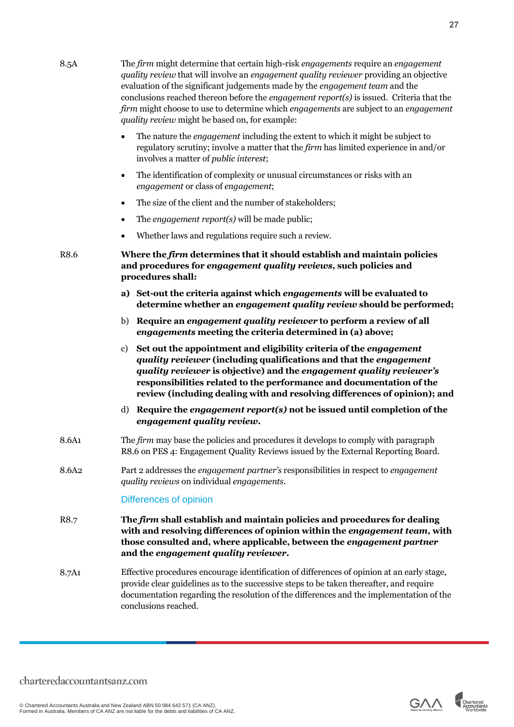| 8.5A              | The firm might determine that certain high-risk engagements require an engagement<br>quality review that will involve an engagement quality reviewer providing an objective<br>evaluation of the significant judgements made by the engagement team and the<br>conclusions reached thereon before the <i>engagement report</i> ( $s$ ) is issued. Criteria that the<br>firm might choose to use to determine which engagements are subject to an engagement<br>quality review might be based on, for example: |
|-------------------|---------------------------------------------------------------------------------------------------------------------------------------------------------------------------------------------------------------------------------------------------------------------------------------------------------------------------------------------------------------------------------------------------------------------------------------------------------------------------------------------------------------|
|                   | The nature the <i>engagement</i> including the extent to which it might be subject to<br>$\bullet$<br>regulatory scrutiny; involve a matter that the firm has limited experience in and/or<br>involves a matter of <i>public interest</i> ;                                                                                                                                                                                                                                                                   |
|                   | The identification of complexity or unusual circumstances or risks with an<br>$\bullet$<br>engagement or class of engagement;                                                                                                                                                                                                                                                                                                                                                                                 |
|                   | The size of the client and the number of stakeholders;<br>$\bullet$                                                                                                                                                                                                                                                                                                                                                                                                                                           |
|                   | The engagement report(s) will be made public;<br>٠                                                                                                                                                                                                                                                                                                                                                                                                                                                            |
|                   | Whether laws and regulations require such a review.<br>$\bullet$                                                                                                                                                                                                                                                                                                                                                                                                                                              |
| R8.6              | Where the firm determines that it should establish and maintain policies<br>and procedures for engagement quality reviews, such policies and<br>procedures shall:                                                                                                                                                                                                                                                                                                                                             |
|                   | a) Set-out the criteria against which engagements will be evaluated to<br>determine whether an engagement quality review should be performed;                                                                                                                                                                                                                                                                                                                                                                 |
|                   | b) Require an engagement quality reviewer to perform a review of all<br>engagements meeting the criteria determined in (a) above;                                                                                                                                                                                                                                                                                                                                                                             |
|                   | Set out the appointment and eligibility criteria of the engagement<br>c)<br>quality reviewer (including qualifications and that the engagement<br>quality reviewer is objective) and the engagement quality reviewer's<br>responsibilities related to the performance and documentation of the<br>review (including dealing with and resolving differences of opinion); and                                                                                                                                   |
|                   | Require the engagement report(s) not be issued until completion of the<br>d)<br>engagement quality review.                                                                                                                                                                                                                                                                                                                                                                                                    |
| 8.6A1             | The firm may base the policies and procedures it develops to comply with paragraph<br>R8.6 on PES 4: Engagement Quality Reviews issued by the External Reporting Board.                                                                                                                                                                                                                                                                                                                                       |
| 8.6A <sub>2</sub> | Part 2 addresses the engagement partner's responsibilities in respect to engagement<br>quality reviews on individual engagements.                                                                                                                                                                                                                                                                                                                                                                             |
|                   | Differences of opinion                                                                                                                                                                                                                                                                                                                                                                                                                                                                                        |
| R8.7              | The firm shall establish and maintain policies and procedures for dealing<br>with and resolving differences of opinion within the engagement team, with<br>those consulted and, where applicable, between the engagement partner<br>and the engagement quality reviewer.                                                                                                                                                                                                                                      |
| 8.7A1             | Effective procedures encourage identification of differences of opinion at an early stage,                                                                                                                                                                                                                                                                                                                                                                                                                    |

provide clear guidelines as to the successive steps to be taken thereafter, and require documentation regarding the resolution of the differences and the implementation of the conclusions reached.

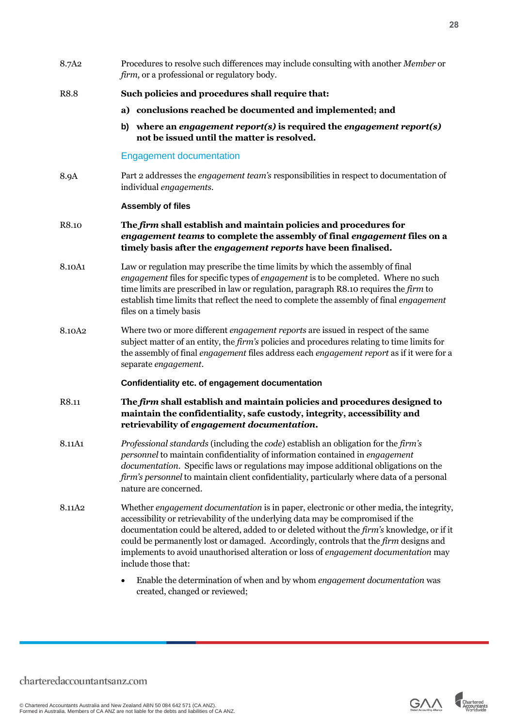| 8.7A <sub>2</sub>  | Procedures to resolve such differences may include consulting with another Member or<br>firm, or a professional or regulatory body.                                                                                                                                                                                                                                                                                                                                              |
|--------------------|----------------------------------------------------------------------------------------------------------------------------------------------------------------------------------------------------------------------------------------------------------------------------------------------------------------------------------------------------------------------------------------------------------------------------------------------------------------------------------|
| R8.8               | Such policies and procedures shall require that:                                                                                                                                                                                                                                                                                                                                                                                                                                 |
|                    | a) conclusions reached be documented and implemented; and                                                                                                                                                                                                                                                                                                                                                                                                                        |
|                    | where an engagement report(s) is required the engagement report(s)<br>b)<br>not be issued until the matter is resolved.                                                                                                                                                                                                                                                                                                                                                          |
|                    | <b>Engagement documentation</b>                                                                                                                                                                                                                                                                                                                                                                                                                                                  |
| 8.9A               | Part 2 addresses the <i>engagement team's</i> responsibilities in respect to documentation of<br>individual engagements.                                                                                                                                                                                                                                                                                                                                                         |
|                    | <b>Assembly of files</b>                                                                                                                                                                                                                                                                                                                                                                                                                                                         |
| R8.10              | The firm shall establish and maintain policies and procedures for<br>engagement teams to complete the assembly of final engagement files on a<br>timely basis after the engagement reports have been finalised.                                                                                                                                                                                                                                                                  |
| 8.10A1             | Law or regulation may prescribe the time limits by which the assembly of final<br>engagement files for specific types of engagement is to be completed. Where no such<br>time limits are prescribed in law or regulation, paragraph R8.10 requires the firm to<br>establish time limits that reflect the need to complete the assembly of final engagement<br>files on a timely basis                                                                                            |
| 8.10A <sub>2</sub> | Where two or more different <i>engagement reports</i> are issued in respect of the same<br>subject matter of an entity, the firm's policies and procedures relating to time limits for<br>the assembly of final <i>engagement</i> files address each <i>engagement report</i> as if it were for a<br>separate engagement.                                                                                                                                                        |
|                    | Confidentiality etc. of engagement documentation                                                                                                                                                                                                                                                                                                                                                                                                                                 |
| R8.11              | The firm shall establish and maintain policies and procedures designed to<br>maintain the confidentiality, safe custody, integrity, accessibility and<br>retrievability of engagement documentation.                                                                                                                                                                                                                                                                             |
| 8.11A1             | Professional standards (including the code) establish an obligation for the firm's<br>personnel to maintain confidentiality of information contained in engagement<br>documentation. Specific laws or regulations may impose additional obligations on the<br>firm's personnel to maintain client confidentiality, particularly where data of a personal<br>nature are concerned.                                                                                                |
| 8.11A <sub>2</sub> | Whether engagement documentation is in paper, electronic or other media, the integrity,<br>accessibility or retrievability of the underlying data may be compromised if the<br>documentation could be altered, added to or deleted without the firm's knowledge, or if it<br>could be permanently lost or damaged. Accordingly, controls that the firm designs and<br>implements to avoid unauthorised alteration or loss of engagement documentation may<br>include those that: |
|                    | Enable the determination of when and by whom engagement documentation was<br>٠<br>created, changed or reviewed;                                                                                                                                                                                                                                                                                                                                                                  |

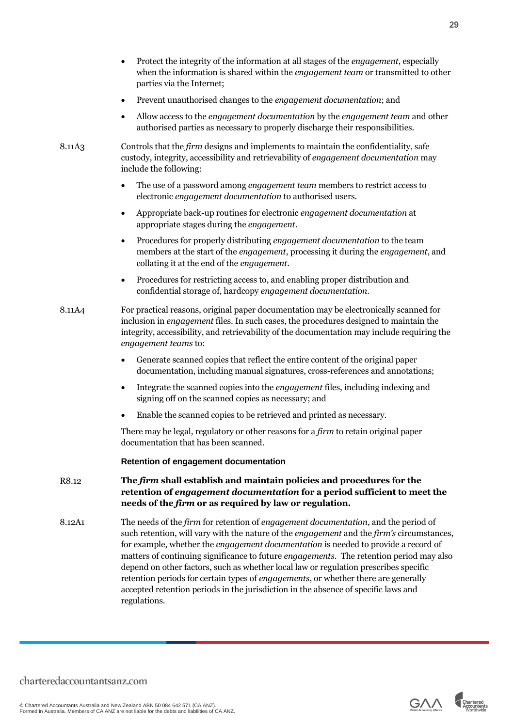- Protect the integrity of the information at all stages of the *engagement*, especially when the information is shared within the *engagement team* or transmitted to other parties via the Internet;
- Prevent unauthorised changes to the *engagement documentation*; and
- Allow access to the *engagement documentation* by the *engagement team* and other authorised parties as necessary to properly discharge their responsibilities.

8.11A3 Controls that the *firm* designs and implements to maintain the confidentiality, safe custody, integrity, accessibility and retrievability of *engagement documentation* may include the following:

- The use of a password among *engagement team* members to restrict access to electronic *engagement documentation* to authorised users.
- Appropriate back-up routines for electronic *engagement documentation* at appropriate stages during the *engagement*.
- Procedures for properly distributing *engagement documentation* to the team members at the start of the *engagement*, processing it during the *engagement*, and collating it at the end of the *engagement*.
- Procedures for restricting access to, and enabling proper distribution and confidential storage of, hardcopy *engagement documentation*.
- 8.11A4 For practical reasons, original paper documentation may be electronically scanned for inclusion in *engagement* files. In such cases, the procedures designed to maintain the integrity, accessibility, and retrievability of the documentation may include requiring the *engagement teams* to:
	- Generate scanned copies that reflect the entire content of the original paper documentation, including manual signatures, cross-references and annotations;
	- Integrate the scanned copies into the *engagement* files, including indexing and signing off on the scanned copies as necessary; and
	- Enable the scanned copies to be retrieved and printed as necessary.

There may be legal, regulatory or other reasons for a *firm* to retain original paper documentation that has been scanned.

#### **Retention of engagement documentation**

- R8.12 **The** *firm* **shall establish and maintain policies and procedures for the retention of** *engagement documentation* **for a period sufficient to meet the needs of the** *firm* **or as required by law or regulation.**
- 8.12A1 The needs of the *firm* for retention of *engagement documentation*, and the period of such retention, will vary with the nature of the *engagement* and the *firm's* circumstances, for example, whether the *engagement documentation* is needed to provide a record of matters of continuing significance to future *engagements*. The retention period may also depend on other factors, such as whether local law or regulation prescribes specific retention periods for certain types of *engagements*, or whether there are generally accepted retention periods in the jurisdiction in the absence of specific laws and regulations.



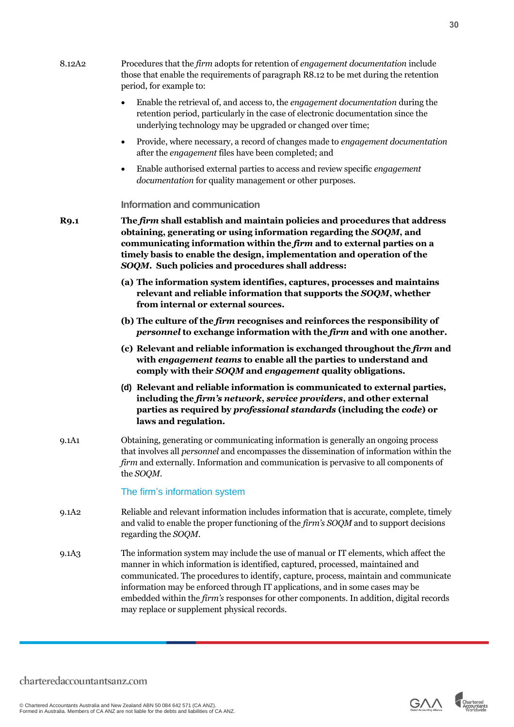<span id="page-29-0"></span>

|                   | those that enable the requirements of paragraph R8.12 to be met during the retention<br>period, for example to:                                                                                                                                                                                                                                                                                                                                                                                   |
|-------------------|---------------------------------------------------------------------------------------------------------------------------------------------------------------------------------------------------------------------------------------------------------------------------------------------------------------------------------------------------------------------------------------------------------------------------------------------------------------------------------------------------|
|                   | Enable the retrieval of, and access to, the engagement documentation during the<br>retention period, particularly in the case of electronic documentation since the<br>underlying technology may be upgraded or changed over time;                                                                                                                                                                                                                                                                |
|                   | Provide, where necessary, a record of changes made to engagement documentation<br>$\bullet$<br>after the <i>engagement</i> files have been completed; and                                                                                                                                                                                                                                                                                                                                         |
|                   | Enable authorised external parties to access and review specific engagement<br>documentation for quality management or other purposes.                                                                                                                                                                                                                                                                                                                                                            |
|                   | Information and communication                                                                                                                                                                                                                                                                                                                                                                                                                                                                     |
| <b>R9.1</b>       | The firm shall establish and maintain policies and procedures that address<br>obtaining, generating or using information regarding the SOQM, and<br>communicating information within the firm and to external parties on a<br>timely basis to enable the design, implementation and operation of the<br>SOQM. Such policies and procedures shall address:                                                                                                                                         |
|                   | (a) The information system identifies, captures, processes and maintains<br>relevant and reliable information that supports the SOQM, whether<br>from internal or external sources.                                                                                                                                                                                                                                                                                                               |
|                   | (b) The culture of the firm recognises and reinforces the responsibility of<br>personnel to exchange information with the firm and with one another.                                                                                                                                                                                                                                                                                                                                              |
|                   | (c) Relevant and reliable information is exchanged throughout the firm and<br>with engagement teams to enable all the parties to understand and<br>comply with their SOQM and engagement quality obligations.                                                                                                                                                                                                                                                                                     |
|                   | (d) Relevant and reliable information is communicated to external parties,<br>including the firm's network, service providers, and other external<br>parties as required by professional standards (including the code) or<br>laws and regulation.                                                                                                                                                                                                                                                |
| 9.1A1             | Obtaining, generating or communicating information is generally an ongoing process<br>that involves all <i>personnel</i> and encompasses the dissemination of information within the<br>firm and externally. Information and communication is pervasive to all components of<br>the SOQM.                                                                                                                                                                                                         |
|                   | The firm's information system                                                                                                                                                                                                                                                                                                                                                                                                                                                                     |
| 9.1A2             | Reliable and relevant information includes information that is accurate, complete, timely<br>and valid to enable the proper functioning of the <i>firm's SOQM</i> and to support decisions<br>regarding the SOQM.                                                                                                                                                                                                                                                                                 |
| 9.1A <sub>3</sub> | The information system may include the use of manual or IT elements, which affect the<br>manner in which information is identified, captured, processed, maintained and<br>communicated. The procedures to identify, capture, process, maintain and communicate<br>information may be enforced through IT applications, and in some cases may be<br>embedded within the <i>firm's</i> responses for other components. In addition, digital records<br>may replace or supplement physical records. |

8.12A2 Procedures that the *firm* adopts for retention of *engagement documentation* include

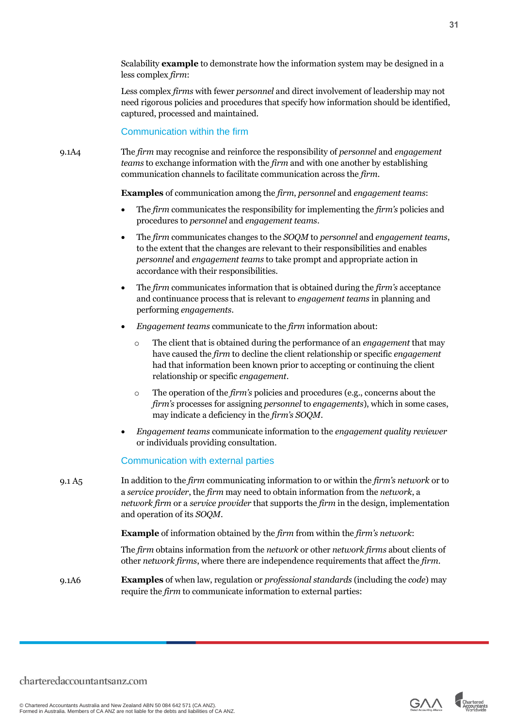Scalability **example** to demonstrate how the information system may be designed in a less complex *firm*:

Less complex *firms* with fewer *personnel* and direct involvement of leadership may not need rigorous policies and procedures that specify how information should be identified, captured, processed and maintained.

Communication within the firm

9.1A4 The *firm* may recognise and reinforce the responsibility of *personnel* and *engagement teams* to exchange information with the *firm* and with one another by establishing communication channels to facilitate communication across the *firm*.

**Examples** of communication among the *firm*, *personnel* and *engagement teams*:

- The *firm* communicates the responsibility for implementing the *firm's* policies and procedures to *personnel* and *engagement teams.*
- The *firm* communicates changes to the *SOQM* to *personnel* and *engagement teams*, to the extent that the changes are relevant to their responsibilities and enables *personnel* and *engagement teams* to take prompt and appropriate action in accordance with their responsibilities.
- The *firm* communicates information that is obtained during the *firm's* acceptance and continuance process that is relevant to *engagement teams* in planning and performing *engagements.*
- *Engagement teams* communicate to the *firm* information about:
	- o The client that is obtained during the performance of an *engagement* that may have caused the *firm* to decline the client relationship or specific *engagement* had that information been known prior to accepting or continuing the client relationship or specific *engagement*.
	- o The operation of the *firm's* policies and procedures (e.g., concerns about the *firm's* processes for assigning *personnel* to *engagements*), which in some cases, may indicate a deficiency in the *firm's SOQM*.
- *Engagement teams* communicate information to the *engagement quality reviewer* or individuals providing consultation.

Communication with external parties

9.1 A5 In addition to the *firm* communicating information to or within the *firm's network* or to a *service provider*, the *firm* may need to obtain information from the *network*, a *network firm* or a *service provider* that supports the *firm* in the design, implementation and operation of its *SOQM*.

**Example** of information obtained by the *firm* from within the *firm's network*:

The *firm* obtains information from the *network* or other *network firms* about clients of other *network firms*, where there are independence requirements that affect the *firm*.

9.1A6 **Examples** of when law, regulation or *professional standards* (including the *code*) may require the *firm* to communicate information to external parties:

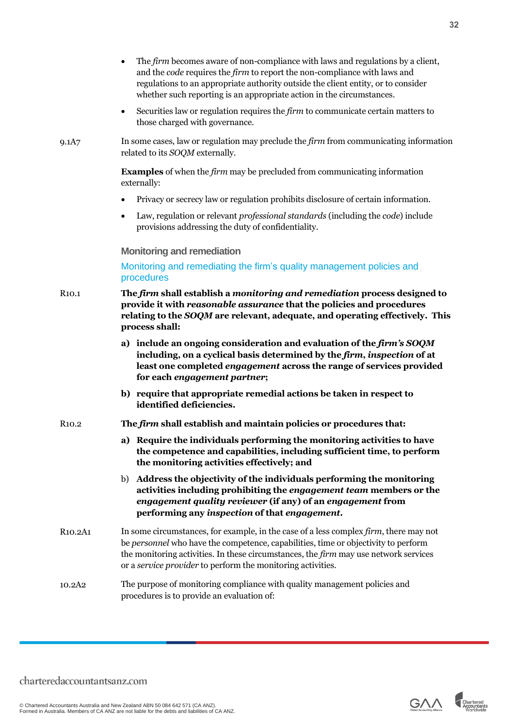<span id="page-31-0"></span>

|                                  | The firm becomes aware of non-compliance with laws and regulations by a client,<br>and the code requires the firm to report the non-compliance with laws and<br>regulations to an appropriate authority outside the client entity, or to consider<br>whether such reporting is an appropriate action in the circumstances.                |
|----------------------------------|-------------------------------------------------------------------------------------------------------------------------------------------------------------------------------------------------------------------------------------------------------------------------------------------------------------------------------------------|
|                                  | Securities law or regulation requires the <i>firm</i> to communicate certain matters to<br>$\bullet$<br>those charged with governance.                                                                                                                                                                                                    |
| 9.1A7                            | In some cases, law or regulation may preclude the firm from communicating information<br>related to its SOQM externally.                                                                                                                                                                                                                  |
|                                  | <b>Examples</b> of when the <i>firm</i> may be precluded from communicating information<br>externally:                                                                                                                                                                                                                                    |
|                                  | Privacy or secrecy law or regulation prohibits disclosure of certain information.                                                                                                                                                                                                                                                         |
|                                  | Law, regulation or relevant professional standards (including the code) include<br>$\bullet$<br>provisions addressing the duty of confidentiality.                                                                                                                                                                                        |
|                                  | <b>Monitoring and remediation</b>                                                                                                                                                                                                                                                                                                         |
|                                  | Monitoring and remediating the firm's quality management policies and<br>procedures                                                                                                                                                                                                                                                       |
| R <sub>10.1</sub>                | The firm shall establish a monitoring and remediation process designed to<br>provide it with reasonable assurance that the policies and procedures<br>relating to the SOQM are relevant, adequate, and operating effectively. This<br>process shall:                                                                                      |
|                                  | a) include an ongoing consideration and evaluation of the firm's SOQM<br>including, on a cyclical basis determined by the firm, inspection of at<br>least one completed engagement across the range of services provided<br>for each engagement partner;                                                                                  |
|                                  | b) require that appropriate remedial actions be taken in respect to<br>identified deficiencies.                                                                                                                                                                                                                                           |
| R <sub>10.2</sub>                | The firm shall establish and maintain policies or procedures that:                                                                                                                                                                                                                                                                        |
|                                  | a) Require the individuals performing the monitoring activities to have<br>the competence and capabilities, including sufficient time, to perform<br>the monitoring activities effectively; and                                                                                                                                           |
|                                  | b) Address the objectivity of the individuals performing the monitoring<br>activities including prohibiting the engagement team members or the<br>engagement quality reviewer (if any) of an engagement from<br>performing any inspection of that engagement.                                                                             |
| R <sub>10.2</sub> A <sub>1</sub> | In some circumstances, for example, in the case of a less complex firm, there may not<br>be <i>personnel</i> who have the competence, capabilities, time or objectivity to perform<br>the monitoring activities. In these circumstances, the firm may use network services<br>or a service provider to perform the monitoring activities. |
| 10.2A <sub>2</sub>               | The purpose of monitoring compliance with quality management policies and<br>procedures is to provide an evaluation of:                                                                                                                                                                                                                   |

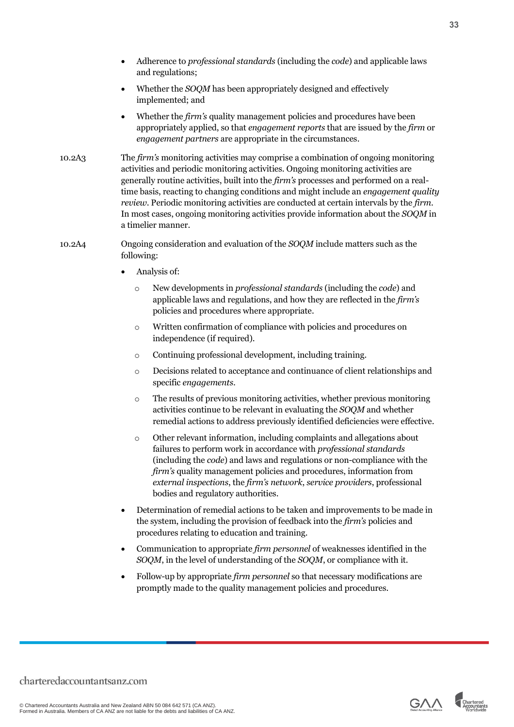- Adherence to *professional standards* (including the *code*) and applicable laws and regulations;
- Whether the *SOQM* has been appropriately designed and effectively implemented; and
- Whether the *firm's* quality management policies and procedures have been appropriately applied, so that *engagement reports* that are issued by the *firm* or *engagement partners* are appropriate in the circumstances.
- 10.2A3 The *firm's* monitoring activities may comprise a combination of ongoing monitoring activities and periodic monitoring activities. Ongoing monitoring activities are generally routine activities, built into the *firm's* processes and performed on a realtime basis, reacting to changing conditions and might include an *engagement quality review*. Periodic monitoring activities are conducted at certain intervals by the *firm*. In most cases, ongoing monitoring activities provide information about the *SOQM* in a timelier manner.
- 10.2A4 Ongoing consideration and evaluation of the *SOQM* include matters such as the following:
	- Analysis of:
		- o New developments in *professional standards* (including the *code*) and applicable laws and regulations, and how they are reflected in the *firm's* policies and procedures where appropriate.
		- o Written confirmation of compliance with policies and procedures on independence (if required).
		- o Continuing professional development, including training.
		- o Decisions related to acceptance and continuance of client relationships and specific *engagements*.
		- o The results of previous monitoring activities, whether previous monitoring activities continue to be relevant in evaluating the *SOQM* and whether remedial actions to address previously identified deficiencies were effective.
		- o Other relevant information, including complaints and allegations about failures to perform work in accordance with *professional standards* (including the *code*) and laws and regulations or non-compliance with the *firm's* quality management policies and procedures, information from *external inspections*, the *firm's network*, *service providers*, professional bodies and regulatory authorities.
	- Determination of remedial actions to be taken and improvements to be made in the system, including the provision of feedback into the *firm's* policies and procedures relating to education and training.
	- Communication to appropriate *firm personnel* of weaknesses identified in the *SOQM*, in the level of understanding of the *SOQM*, or compliance with it.
	- Follow-up by appropriate *firm personnel* so that necessary modifications are promptly made to the quality management policies and procedures.



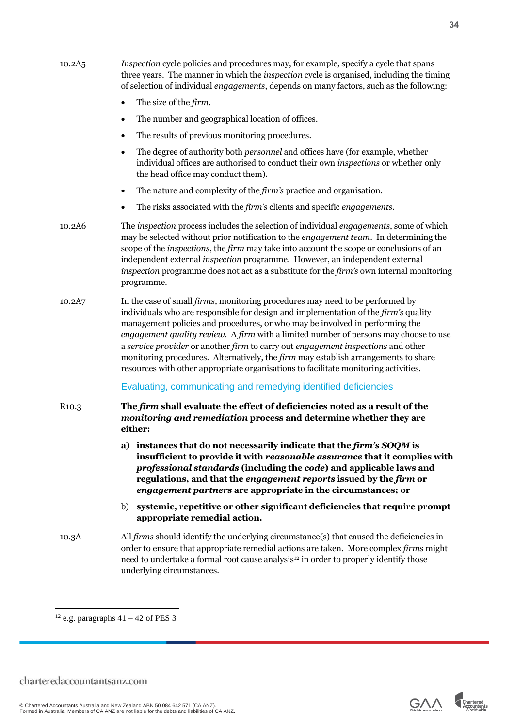| 10.2A <sub>5</sub> | <i>Inspection cycle policies and procedures may, for example, specify a cycle that spans</i><br>three years. The manner in which the <i>inspection</i> cycle is organised, including the timing<br>of selection of individual <i>engagements</i> , depends on many factors, such as the following:                                                                                                                                                                                                                                                                                                                          |
|--------------------|-----------------------------------------------------------------------------------------------------------------------------------------------------------------------------------------------------------------------------------------------------------------------------------------------------------------------------------------------------------------------------------------------------------------------------------------------------------------------------------------------------------------------------------------------------------------------------------------------------------------------------|
|                    | The size of the <i>firm</i> .                                                                                                                                                                                                                                                                                                                                                                                                                                                                                                                                                                                               |
|                    | The number and geographical location of offices.<br>٠                                                                                                                                                                                                                                                                                                                                                                                                                                                                                                                                                                       |
|                    | The results of previous monitoring procedures.<br>$\bullet$                                                                                                                                                                                                                                                                                                                                                                                                                                                                                                                                                                 |
|                    | The degree of authority both <i>personnel</i> and offices have (for example, whether<br>$\bullet$<br>individual offices are authorised to conduct their own inspections or whether only<br>the head office may conduct them).                                                                                                                                                                                                                                                                                                                                                                                               |
|                    | The nature and complexity of the <i>firm's</i> practice and organisation.<br>$\bullet$                                                                                                                                                                                                                                                                                                                                                                                                                                                                                                                                      |
|                    | The risks associated with the <i>firm's</i> clients and specific <i>engagements</i> .                                                                                                                                                                                                                                                                                                                                                                                                                                                                                                                                       |
| 10.2A6             | The inspection process includes the selection of individual engagements, some of which<br>may be selected without prior notification to the engagement team. In determining the<br>scope of the <i>inspections</i> , the <i>firm</i> may take into account the scope or conclusions of an<br>independent external inspection programme. However, an independent external<br>inspection programme does not act as a substitute for the firm's own internal monitoring<br>programme.                                                                                                                                          |
| 10.2A7             | In the case of small firms, monitoring procedures may need to be performed by<br>individuals who are responsible for design and implementation of the <i>firm's</i> quality<br>management policies and procedures, or who may be involved in performing the<br>engagement quality review. A firm with a limited number of persons may choose to use<br>a service provider or another firm to carry out engagement inspections and other<br>monitoring procedures. Alternatively, the <i>firm</i> may establish arrangements to share<br>resources with other appropriate organisations to facilitate monitoring activities. |
|                    | Evaluating, communicating and remedying identified deficiencies                                                                                                                                                                                                                                                                                                                                                                                                                                                                                                                                                             |
| R <sub>10.3</sub>  | The firm shall evaluate the effect of deficiencies noted as a result of the<br>monitoring and remediation process and determine whether they are<br>either:                                                                                                                                                                                                                                                                                                                                                                                                                                                                 |
|                    | a) instances that do not necessarily indicate that the firm's SOQM is<br>insufficient to provide it with reasonable assurance that it complies with<br>professional standards (including the code) and applicable laws and<br>regulations, and that the engagement reports issued by the firm or<br>engagement partners are appropriate in the circumstances; or                                                                                                                                                                                                                                                            |
|                    | systemic, repetitive or other significant deficiencies that require prompt<br>b)<br>appropriate remedial action.                                                                                                                                                                                                                                                                                                                                                                                                                                                                                                            |
| 10.3A              | All <i>firms</i> should identify the underlying circumstance(s) that caused the deficiencies in<br>order to ensure that appropriate remedial actions are taken. More complex <i>firms</i> might<br>need to undertake a formal root cause analysis <sup>12</sup> in order to properly identify those<br>underlying circumstances.                                                                                                                                                                                                                                                                                            |
|                    |                                                                                                                                                                                                                                                                                                                                                                                                                                                                                                                                                                                                                             |





 $^{12}$ e.g. paragraphs 41 – 42 of PES 3  $\,$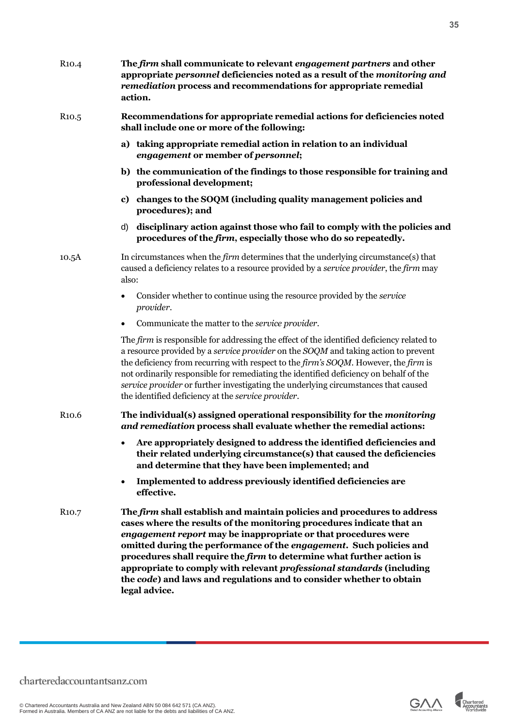| R <sub>10.4</sub>  | The firm shall communicate to relevant engagement partners and other<br>appropriate personnel deficiencies noted as a result of the monitoring and<br>remediation process and recommendations for appropriate remedial<br>action.                                                                                                                                                                                                                                                                                                     |
|--------------------|---------------------------------------------------------------------------------------------------------------------------------------------------------------------------------------------------------------------------------------------------------------------------------------------------------------------------------------------------------------------------------------------------------------------------------------------------------------------------------------------------------------------------------------|
| R <sub>10</sub> .5 | Recommendations for appropriate remedial actions for deficiencies noted<br>shall include one or more of the following:                                                                                                                                                                                                                                                                                                                                                                                                                |
|                    | a) taking appropriate remedial action in relation to an individual<br>engagement or member of personnel;                                                                                                                                                                                                                                                                                                                                                                                                                              |
|                    | b) the communication of the findings to those responsible for training and<br>professional development;                                                                                                                                                                                                                                                                                                                                                                                                                               |
|                    | changes to the SOQM (including quality management policies and<br>c)<br>procedures); and                                                                                                                                                                                                                                                                                                                                                                                                                                              |
|                    | disciplinary action against those who fail to comply with the policies and<br>d)<br>procedures of the firm, especially those who do so repeatedly.                                                                                                                                                                                                                                                                                                                                                                                    |
| 10.5A              | In circumstances when the <i>firm</i> determines that the underlying circumstance(s) that<br>caused a deficiency relates to a resource provided by a service provider, the firm may<br>also:                                                                                                                                                                                                                                                                                                                                          |
|                    | Consider whether to continue using the resource provided by the service<br>provider.                                                                                                                                                                                                                                                                                                                                                                                                                                                  |
|                    | Communicate the matter to the service provider.                                                                                                                                                                                                                                                                                                                                                                                                                                                                                       |
|                    | The firm is responsible for addressing the effect of the identified deficiency related to<br>a resource provided by a <i>service provider</i> on the SOQM and taking action to prevent<br>the deficiency from recurring with respect to the firm's SOQM. However, the firm is<br>not ordinarily responsible for remediating the identified deficiency on behalf of the<br>service provider or further investigating the underlying circumstances that caused<br>the identified deficiency at the service provider.                    |
| R <sub>10.6</sub>  | The individual(s) assigned operational responsibility for the monitoring<br>and remediation process shall evaluate whether the remedial actions:                                                                                                                                                                                                                                                                                                                                                                                      |
|                    | • Are appropriately designed to address the identified deficiencies and<br>their related underlying circumstance(s) that caused the deficiencies<br>and determine that they have been implemented; and                                                                                                                                                                                                                                                                                                                                |
|                    | Implemented to address previously identified deficiencies are<br>$\bullet$<br>effective.                                                                                                                                                                                                                                                                                                                                                                                                                                              |
| R <sub>10.7</sub>  | The firm shall establish and maintain policies and procedures to address<br>cases where the results of the monitoring procedures indicate that an<br>engagement report may be inappropriate or that procedures were<br>omitted during the performance of the engagement. Such policies and<br>procedures shall require the firm to determine what further action is<br>appropriate to comply with relevant professional standards (including<br>the code) and laws and regulations and to consider whether to obtain<br>legal advice. |



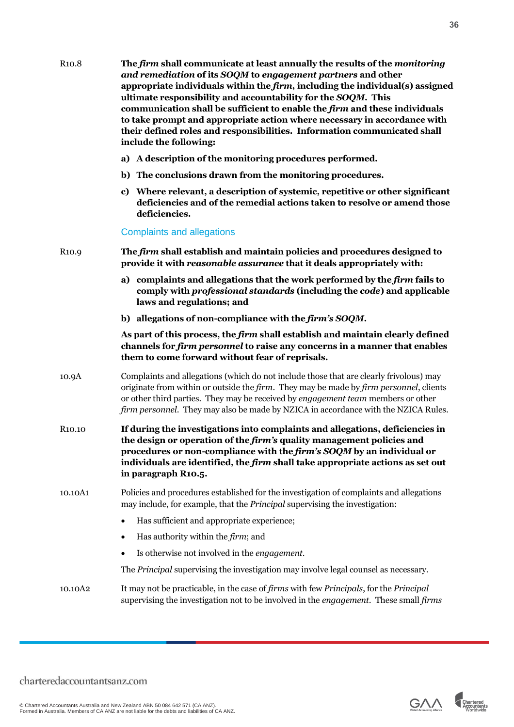| R <sub>10.8</sub>   | The firm shall communicate at least annually the results of the monitoring<br>and remediation of its SOQM to engagement partners and other<br>appropriate individuals within the $firm$ , including the individual( $s$ ) assigned<br>ultimate responsibility and accountability for the SOQM. This<br>communication shall be sufficient to enable the firm and these individuals<br>to take prompt and appropriate action where necessary in accordance with<br>their defined roles and responsibilities. Information communicated shall<br>include the following: |
|---------------------|---------------------------------------------------------------------------------------------------------------------------------------------------------------------------------------------------------------------------------------------------------------------------------------------------------------------------------------------------------------------------------------------------------------------------------------------------------------------------------------------------------------------------------------------------------------------|
|                     | a) A description of the monitoring procedures performed.                                                                                                                                                                                                                                                                                                                                                                                                                                                                                                            |
|                     | b) The conclusions drawn from the monitoring procedures.                                                                                                                                                                                                                                                                                                                                                                                                                                                                                                            |
|                     | c) Where relevant, a description of systemic, repetitive or other significant<br>deficiencies and of the remedial actions taken to resolve or amend those<br>deficiencies.                                                                                                                                                                                                                                                                                                                                                                                          |
|                     | <b>Complaints and allegations</b>                                                                                                                                                                                                                                                                                                                                                                                                                                                                                                                                   |
| R <sub>10.9</sub>   | The firm shall establish and maintain policies and procedures designed to<br>provide it with reasonable assurance that it deals appropriately with:                                                                                                                                                                                                                                                                                                                                                                                                                 |
|                     | complaints and allegations that the work performed by the firm fails to<br>a)<br>comply with <i>professional standards</i> (including the <i>code</i> ) and applicable<br>laws and regulations; and                                                                                                                                                                                                                                                                                                                                                                 |
|                     | b) allegations of non-compliance with the firm's SOQM.                                                                                                                                                                                                                                                                                                                                                                                                                                                                                                              |
|                     | As part of this process, the firm shall establish and maintain clearly defined<br>channels for firm personnel to raise any concerns in a manner that enables<br>them to come forward without fear of reprisals.                                                                                                                                                                                                                                                                                                                                                     |
| 10.9A               | Complaints and allegations (which do not include those that are clearly frivolous) may<br>originate from within or outside the firm. They may be made by firm personnel, clients<br>or other third parties. They may be received by engagement team members or other<br>firm personnel. They may also be made by NZICA in accordance with the NZICA Rules.                                                                                                                                                                                                          |
| R <sub>10.10</sub>  | If during the investigations into complaints and allegations, deficiencies in<br>the design or operation of the firm's quality management policies and<br>procedures or non-compliance with the firm's SOQM by an individual or<br>individuals are identified, the <i>firm</i> shall take appropriate actions as set out<br>in paragraph R10.5.                                                                                                                                                                                                                     |
| 10.10A1             | Policies and procedures established for the investigation of complaints and allegations<br>may include, for example, that the <i>Principal</i> supervising the investigation:                                                                                                                                                                                                                                                                                                                                                                                       |
|                     | Has sufficient and appropriate experience;<br>$\bullet$                                                                                                                                                                                                                                                                                                                                                                                                                                                                                                             |
|                     | Has authority within the <i>firm</i> ; and                                                                                                                                                                                                                                                                                                                                                                                                                                                                                                                          |
|                     | Is otherwise not involved in the <i>engagement</i> .                                                                                                                                                                                                                                                                                                                                                                                                                                                                                                                |
|                     | The <i>Principal</i> supervising the investigation may involve legal counsel as necessary.                                                                                                                                                                                                                                                                                                                                                                                                                                                                          |
| 10.10A <sub>2</sub> | It may not be practicable, in the case of firms with few Principals, for the Principal<br>supervising the investigation not to be involved in the engagement. These small firms                                                                                                                                                                                                                                                                                                                                                                                     |

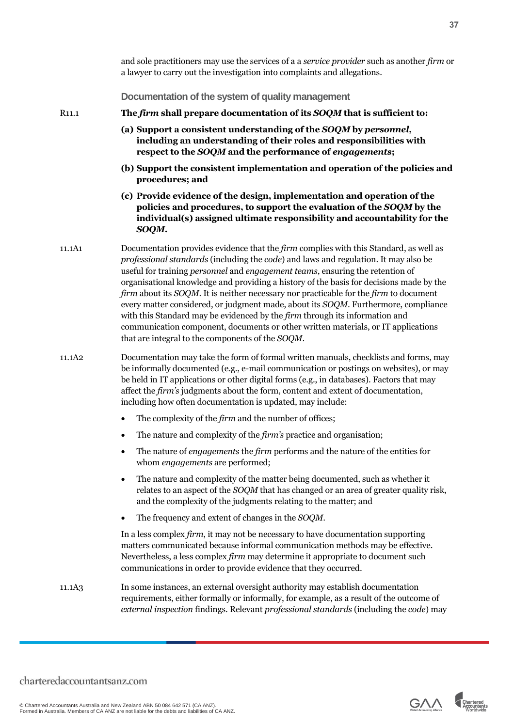<span id="page-36-0"></span>

|                    | and sole practitioners may use the services of a a service provider such as another firm or<br>a lawyer to carry out the investigation into complaints and allegations.                                                                                                                                                                                                                                                                                                                                                                                                                                                                                                                                                                                         |
|--------------------|-----------------------------------------------------------------------------------------------------------------------------------------------------------------------------------------------------------------------------------------------------------------------------------------------------------------------------------------------------------------------------------------------------------------------------------------------------------------------------------------------------------------------------------------------------------------------------------------------------------------------------------------------------------------------------------------------------------------------------------------------------------------|
|                    | Documentation of the system of quality management                                                                                                                                                                                                                                                                                                                                                                                                                                                                                                                                                                                                                                                                                                               |
| R <sub>11</sub> .1 | The firm shall prepare documentation of its SOQM that is sufficient to:                                                                                                                                                                                                                                                                                                                                                                                                                                                                                                                                                                                                                                                                                         |
|                    | (a) Support a consistent understanding of the SOQM by personnel,<br>including an understanding of their roles and responsibilities with<br>respect to the SOQM and the performance of engagements;                                                                                                                                                                                                                                                                                                                                                                                                                                                                                                                                                              |
|                    | (b) Support the consistent implementation and operation of the policies and<br>procedures; and                                                                                                                                                                                                                                                                                                                                                                                                                                                                                                                                                                                                                                                                  |
|                    | (c) Provide evidence of the design, implementation and operation of the<br>policies and procedures, to support the evaluation of the SOQM by the<br>individual(s) assigned ultimate responsibility and accountability for the<br>SOQM.                                                                                                                                                                                                                                                                                                                                                                                                                                                                                                                          |
| 11.1A1             | Documentation provides evidence that the firm complies with this Standard, as well as<br>professional standards (including the code) and laws and regulation. It may also be<br>useful for training personnel and engagement teams, ensuring the retention of<br>organisational knowledge and providing a history of the basis for decisions made by the<br>firm about its SOQM. It is neither necessary nor practicable for the firm to document<br>every matter considered, or judgment made, about its SOQM. Furthermore, compliance<br>with this Standard may be evidenced by the firm through its information and<br>communication component, documents or other written materials, or IT applications<br>that are integral to the components of the SOQM. |
| 11.1A <sub>2</sub> | Documentation may take the form of formal written manuals, checklists and forms, may<br>be informally documented (e.g., e-mail communication or postings on websites), or may<br>be held in IT applications or other digital forms (e.g., in databases). Factors that may<br>affect the firm's judgments about the form, content and extent of documentation,<br>including how often documentation is updated, may include:                                                                                                                                                                                                                                                                                                                                     |
|                    | The complexity of the <i>firm</i> and the number of offices;                                                                                                                                                                                                                                                                                                                                                                                                                                                                                                                                                                                                                                                                                                    |
|                    | The nature and complexity of the firm's practice and organisation;                                                                                                                                                                                                                                                                                                                                                                                                                                                                                                                                                                                                                                                                                              |
|                    | The nature of <i>engagements</i> the <i>firm</i> performs and the nature of the entities for<br>whom engagements are performed;                                                                                                                                                                                                                                                                                                                                                                                                                                                                                                                                                                                                                                 |
|                    | The nature and complexity of the matter being documented, such as whether it<br>$\bullet$<br>relates to an aspect of the SOQM that has changed or an area of greater quality risk,<br>and the complexity of the judgments relating to the matter; and                                                                                                                                                                                                                                                                                                                                                                                                                                                                                                           |
|                    | The frequency and extent of changes in the SOQM.<br>$\bullet$                                                                                                                                                                                                                                                                                                                                                                                                                                                                                                                                                                                                                                                                                                   |
|                    | In a less complex firm, it may not be necessary to have documentation supporting<br>matters communicated because informal communication methods may be effective.<br>Nevertheless, a less complex firm may determine it appropriate to document such<br>communications in order to provide evidence that they occurred.                                                                                                                                                                                                                                                                                                                                                                                                                                         |
| 11.1A <sub>3</sub> | In some instances, an external oversight authority may establish documentation<br>requirements, either formally or informally, for example, as a result of the outcome of<br>external inspection findings. Relevant professional standards (including the code) may                                                                                                                                                                                                                                                                                                                                                                                                                                                                                             |

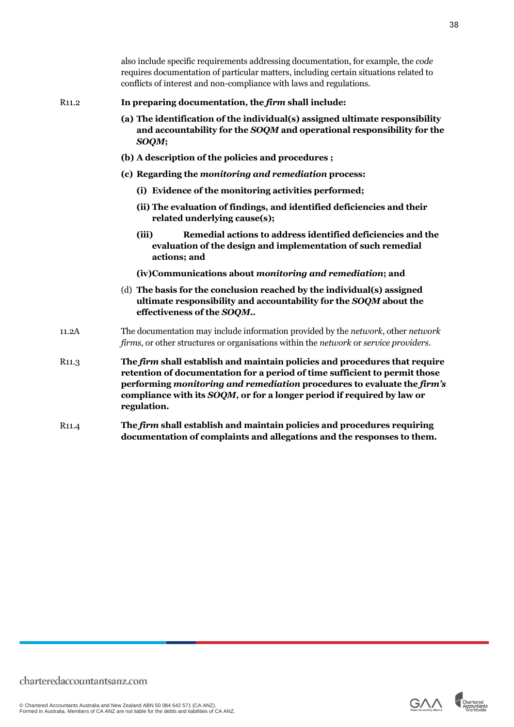|                   | also include specific requirements addressing documentation, for example, the <i>code</i><br>requires documentation of particular matters, including certain situations related to<br>conflicts of interest and non-compliance with laws and regulations.                                                                    |
|-------------------|------------------------------------------------------------------------------------------------------------------------------------------------------------------------------------------------------------------------------------------------------------------------------------------------------------------------------|
| R <sub>11.2</sub> | In preparing documentation, the firm shall include:                                                                                                                                                                                                                                                                          |
|                   | (a) The identification of the individual(s) assigned ultimate responsibility<br>and accountability for the SOQM and operational responsibility for the<br>SOQM;                                                                                                                                                              |
|                   | (b) A description of the policies and procedures;                                                                                                                                                                                                                                                                            |
|                   | (c) Regarding the monitoring and remediation process:                                                                                                                                                                                                                                                                        |
|                   | (i) Evidence of the monitoring activities performed;                                                                                                                                                                                                                                                                         |
|                   | (ii) The evaluation of findings, and identified deficiencies and their<br>related underlying cause(s);                                                                                                                                                                                                                       |
|                   | Remedial actions to address identified deficiencies and the<br>(iii)<br>evaluation of the design and implementation of such remedial<br>actions; and                                                                                                                                                                         |
|                   | (iv)Communications about monitoring and remediation; and                                                                                                                                                                                                                                                                     |
|                   | (d) The basis for the conclusion reached by the individual(s) assigned<br>ultimate responsibility and accountability for the SOQM about the<br>effectiveness of the SOQM                                                                                                                                                     |
| 11.2A             | The documentation may include information provided by the <i>network</i> , other <i>network</i><br>firms, or other structures or organisations within the network or service providers.                                                                                                                                      |
| R <sub>11.3</sub> | The firm shall establish and maintain policies and procedures that require<br>retention of documentation for a period of time sufficient to permit those<br>performing monitoring and remediation procedures to evaluate the firm's<br>compliance with its SOQM, or for a longer period if required by law or<br>regulation. |
| R <sub>11.4</sub> | The firm shall establish and maintain policies and procedures requiring<br>documentation of complaints and allegations and the responses to them.                                                                                                                                                                            |

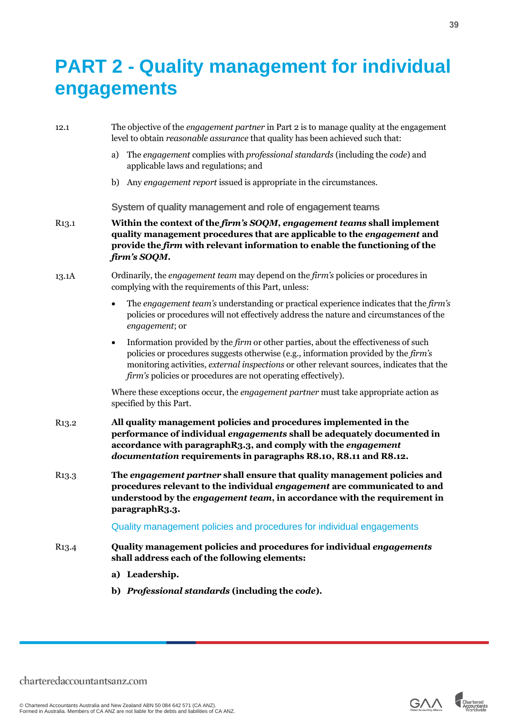### <span id="page-38-0"></span>**PART 2 - Quality management for individual engagements**

<span id="page-38-1"></span>

| 12.1               | The objective of the <i>engagement partner</i> in Part 2 is to manage quality at the engagement<br>level to obtain reasonable assurance that quality has been achieved such that:                                                                                                                                                                                  |
|--------------------|--------------------------------------------------------------------------------------------------------------------------------------------------------------------------------------------------------------------------------------------------------------------------------------------------------------------------------------------------------------------|
|                    | The engagement complies with professional standards (including the code) and<br>a)<br>applicable laws and regulations; and                                                                                                                                                                                                                                         |
|                    | b) Any engagement report issued is appropriate in the circumstances.                                                                                                                                                                                                                                                                                               |
|                    | System of quality management and role of engagement teams                                                                                                                                                                                                                                                                                                          |
| R <sub>1</sub> 3.1 | Within the context of the firm's SOQM, engagement teams shall implement<br>quality management procedures that are applicable to the engagement and<br>provide the firm with relevant information to enable the functioning of the<br>firm's SOQM.                                                                                                                  |
| 13.1A              | Ordinarily, the <i>engagement team</i> may depend on the <i>firm's</i> policies or procedures in<br>complying with the requirements of this Part, unless:                                                                                                                                                                                                          |
|                    | The engagement team's understanding or practical experience indicates that the firm's<br>$\bullet$<br>policies or procedures will not effectively address the nature and circumstances of the<br>engagement; or                                                                                                                                                    |
|                    | Information provided by the <i>firm</i> or other parties, about the effectiveness of such<br>$\bullet$<br>policies or procedures suggests otherwise (e.g., information provided by the firm's<br>monitoring activities, external inspections or other relevant sources, indicates that the<br><i>firm's</i> policies or procedures are not operating effectively). |
|                    | Where these exceptions occur, the <i>engagement partner</i> must take appropriate action as<br>specified by this Part.                                                                                                                                                                                                                                             |
| R <sub>1</sub> 3.2 | All quality management policies and procedures implemented in the<br>performance of individual engagements shall be adequately documented in<br>accordance with paragraphR3.3, and comply with the engagement<br>documentation requirements in paragraphs R8.10, R8.11 and R8.12.                                                                                  |
| R <sub>13.3</sub>  | The engagement partner shall ensure that quality management policies and<br>procedures relevant to the individual engagement are communicated to and<br>understood by the engagement team, in accordance with the requirement in<br>paragraphR3.3.                                                                                                                 |
|                    | Quality management policies and procedures for individual engagements                                                                                                                                                                                                                                                                                              |
| R <sub>1</sub> 3.4 | Quality management policies and procedures for individual engagements<br>shall address each of the following elements:                                                                                                                                                                                                                                             |
|                    | a) Leadership.                                                                                                                                                                                                                                                                                                                                                     |
|                    | b) Professional standards (including the code).                                                                                                                                                                                                                                                                                                                    |



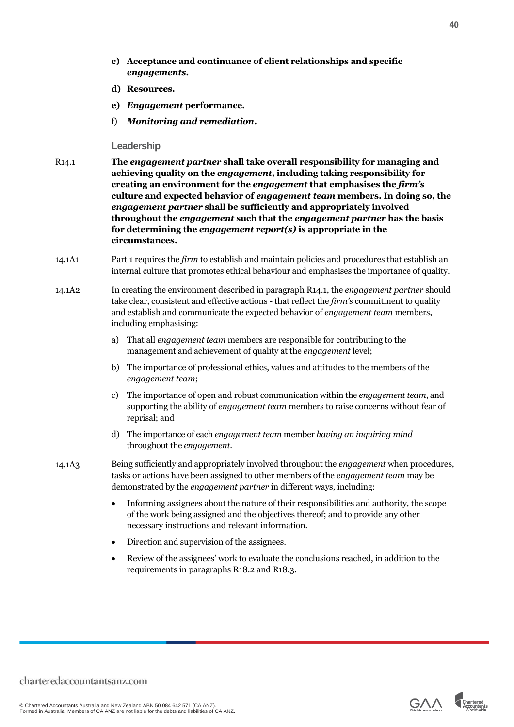- **c) Acceptance and continuance of client relationships and specific**  *engagements***.**
- **d) Resources.**
- **e)** *Engagement* **performance.**
- f) *Monitoring and remediation***.**

#### <span id="page-39-0"></span>**Leadership**

- R14.1 **The** *engagement partner* **shall take overall responsibility for managing and achieving quality on the** *engagement***, including taking responsibility for creating an environment for the** *engagement* **that emphasises the** *firm's* **culture and expected behavior of** *engagement team* **members. In doing so, the**  *engagement partner* **shall be sufficiently and appropriately involved throughout the** *engagement* **such that the** *engagement partner* **has the basis for determining the** *engagement report(s)* **is appropriate in the circumstances.**
- 14.1A1 Part 1 requires the *firm* to establish and maintain policies and procedures that establish an internal culture that promotes ethical behaviour and emphasises the importance of quality.
- 14.1A2 In creating the environment described in paragraph R14.1, the *engagement partner* should take clear, consistent and effective actions - that reflect the *firm's* commitment to quality and establish and communicate the expected behavior of *engagement team* members, including emphasising:
	- a) That all *engagement team* members are responsible for contributing to the management and achievement of quality at the *engagement* level;
	- b) The importance of professional ethics, values and attitudes to the members of the *engagement team*;
	- c) The importance of open and robust communication within the *engagement team*, and supporting the ability of *engagement team* members to raise concerns without fear of reprisal; and
	- d) The importance of each *engagement team* member *having an inquiring mind* throughout the *engagement*.
- 14.1A3 Being sufficiently and appropriately involved throughout the *engagement* when procedures, tasks or actions have been assigned to other members of the *engagement team* may be demonstrated by the *engagement partner* in different ways, including:
	- Informing assignees about the nature of their responsibilities and authority, the scope of the work being assigned and the objectives thereof; and to provide any other necessary instructions and relevant information.
	- Direction and supervision of the assignees.
	- Review of the assignees' work to evaluate the conclusions reached, in addition to the requirements in paragraphs R18.2 and R18.3.

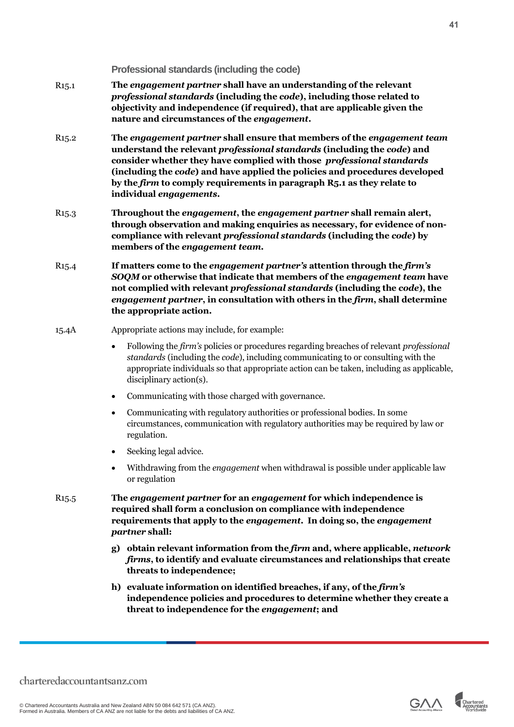|                    | (including the code) and have applied the policies and procedures developed<br>by the firm to comply requirements in paragraph R5.1 as they relate to<br>individual engagements.                                                                                                                                                               |
|--------------------|------------------------------------------------------------------------------------------------------------------------------------------------------------------------------------------------------------------------------------------------------------------------------------------------------------------------------------------------|
| R <sub>15</sub> .3 | Throughout the engagement, the engagement partner shall remain alert,<br>through observation and making enquiries as necessary, for evidence of non-<br>compliance with relevant professional standards (including the code) by<br>members of the engagement team.                                                                             |
| R <sub>15</sub> .4 | If matters come to the engagement partner's attention through the firm's<br>SOQM or otherwise that indicate that members of the engagement team have<br>not complied with relevant professional standards (including the code), the<br>engagement partner, in consultation with others in the firm, shall determine<br>the appropriate action. |
| 15.4A              | Appropriate actions may include, for example:                                                                                                                                                                                                                                                                                                  |
|                    | Following the firm's policies or procedures regarding breaches of relevant professional<br>$\bullet$<br>standards (including the code), including communicating to or consulting with the<br>appropriate individuals so that appropriate action can be taken, including as applicable,<br>disciplinary action(s).                              |
|                    | Communicating with those charged with governance.<br>$\bullet$                                                                                                                                                                                                                                                                                 |
|                    | Communicating with regulatory authorities or professional bodies. In some<br>$\bullet$<br>circumstances, communication with regulatory authorities may be required by law or<br>regulation.                                                                                                                                                    |
|                    | Seeking legal advice.<br>$\bullet$                                                                                                                                                                                                                                                                                                             |
|                    | Withdrawing from the <i>engagement</i> when withdrawal is possible under applicable law<br>$\bullet$<br>or regulation                                                                                                                                                                                                                          |
| R <sub>15</sub> .5 | The engagement partner for an engagement for which independence is<br>required shall form a conclusion on compliance with independence<br>requirements that apply to the engagement. In doing so, the engagement<br>partner shall:                                                                                                             |
|                    | g) obtain relevant information from the firm and, where applicable, network<br><i>firms</i> , to identify and evaluate circumstances and relationships that create<br>threats to independence;                                                                                                                                                 |
|                    | h) evaluate information on identified breaches, if any, of the firm's<br>independence policies and procedures to determine whether they create a<br>threat to independence for the engagement; and                                                                                                                                             |
|                    |                                                                                                                                                                                                                                                                                                                                                |
|                    | daccountantsanz.com                                                                                                                                                                                                                                                                                                                            |

- R15.3 **Throughout the** *engagement***, the** *engagement partner* **shall remain alert, through observation and making enquiries as necessary, for evidence of noncompliance with relevant** *professional standards* **(including the** *code***) by**
- R15.2 **The** *engagement partner* **shall ensure that members of the** *engagement team* **understand the relevant** *professional standards* **(including the** *code***) and consider whether they have complied with those** *professional standards* **(including the** *code***) and have applied the policies and procedures developed**

*professional standards* **(including the** *code***), including those related to objectivity and independence (if required), that are applicable given the** 

R15.1 **The** *engagement partner* **shall have an understanding of the relevant** 

<span id="page-40-0"></span>**Professional standards (including the code)**

**nature and circumstances of the** *engagement***.**

charteredaccountantsan

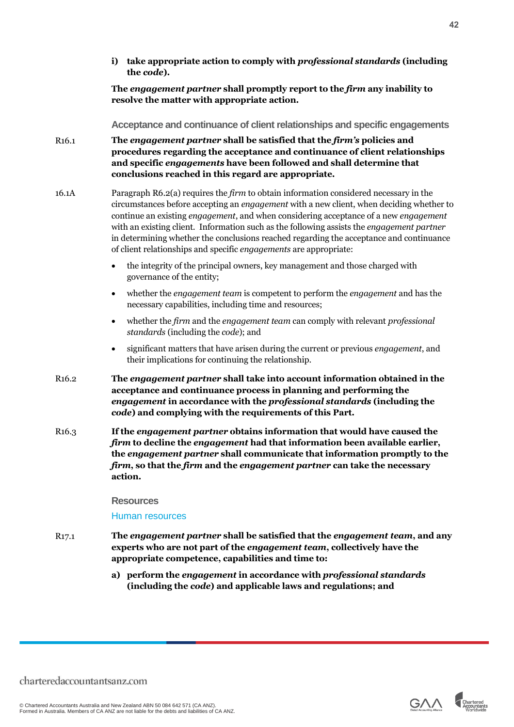**The** *engagement partner* **shall promptly report to the** *firm* **any inability to resolve the matter with appropriate action.**

<span id="page-41-0"></span>**Acceptance and continuance of client relationships and specific engagements**

- R16.1 **The** *engagement partner* **shall be satisfied that the** *firm's* **policies and procedures regarding the acceptance and continuance of client relationships and specific** *engagements* **have been followed and shall determine that conclusions reached in this regard are appropriate.**
- 16.1A Paragraph R6.2(a) requires the *firm* to obtain information considered necessary in the circumstances before accepting an *engagement* with a new client, when deciding whether to continue an existing *engagement*, and when considering acceptance of a new *engagement* with an existing client. Information such as the following assists the *engagement partner* in determining whether the conclusions reached regarding the acceptance and continuance of client relationships and specific *engagements* are appropriate:
	- the integrity of the principal owners, key management and those charged with governance of the entity;
	- whether the *engagement team* is competent to perform the *engagement* and has the necessary capabilities, including time and resources;
	- whether the *firm* and the *engagement team* can comply with relevant *professional standards* (including the *code*); and
	- significant matters that have arisen during the current or previous *engagement*, and their implications for continuing the relationship.
- R16.2 **The** *engagement partner* **shall take into account information obtained in the acceptance and continuance process in planning and performing the**  *engagement* **in accordance with the** *professional standards* **(including the**  *code***) and complying with the requirements of this Part.**
- R16.3 **If the** *engagement partner* **obtains information that would have caused the**  *firm* **to decline the** *engagement* **had that information been available earlier, the** *engagement partner* **shall communicate that information promptly to the**  *firm***, so that the** *firm* **and the** *engagement partner* **can take the necessary action.**

#### <span id="page-41-1"></span>**Resources**

Human resources

- R17.1 **The** *engagement partner* **shall be satisfied that the** *engagement team***, and any experts who are not part of the** *engagement team***, collectively have the appropriate competence, capabilities and time to:**
	- **a) perform the** *engagement* **in accordance with** *professional standards*  **(including the** *code***) and applicable laws and regulations; and**



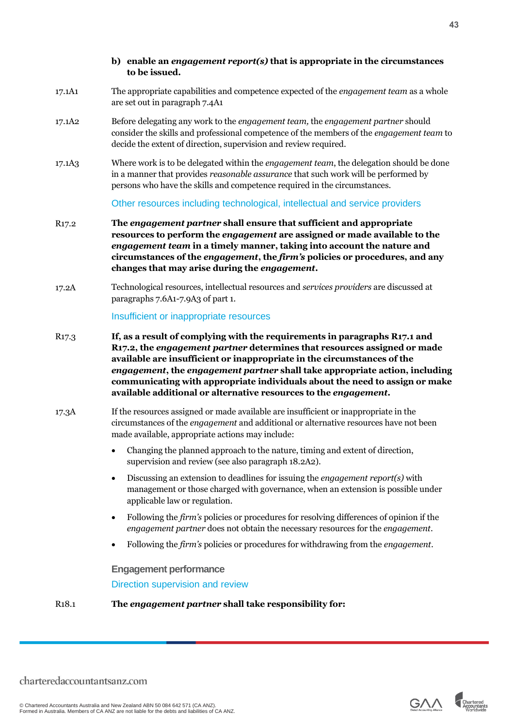#### **b) enable an** *engagement report(s)* **that is appropriate in the circumstances to be issued.**

- 17.1A1 The appropriate capabilities and competence expected of the *engagement team* as a whole are set out in paragraph 7.4A1
- 17.1A2 Before delegating any work to the *engagement team,* the *engagement partner* should consider the skills and professional competence of the members of the *engagement team* to decide the extent of direction, supervision and review required.
- 17.1A3 Where work is to be delegated within the *engagement team*, the delegation should be done in a manner that provides *reasonable assurance* that such work will be performed by persons who have the skills and competence required in the circumstances.

Other resources including technological, intellectual and service providers

- R17.2 **The** *engagement partner* **shall ensure that sufficient and appropriate resources to perform the** *engagement* **are assigned or made available to the**  *engagement team* **in a timely manner, taking into account the nature and circumstances of the** *engagement***, the** *firm's* **policies or procedures, and any changes that may arise during the** *engagement***.**
- 17.2A Technological resources, intellectual resources and *services providers* are discussed at paragraphs 7.6A1-7.9A3 of part 1.

Insufficient or inappropriate resources

- R17.3 **If, as a result of complying with the requirements in paragraphs R17.1 and R17.2, the** *engagement partner* **determines that resources assigned or made available are insufficient or inappropriate in the circumstances of the**  *engagement***, the** *engagement partner* **shall take appropriate action, including communicating with appropriate individuals about the need to assign or make available additional or alternative resources to the** *engagement***.**
- 17.3A If the resources assigned or made available are insufficient or inappropriate in the circumstances of the *engagement* and additional or alternative resources have not been made available, appropriate actions may include:
	- Changing the planned approach to the nature, timing and extent of direction, supervision and review (see also paragraph 18.2A2).
	- Discussing an extension to deadlines for issuing the *engagement report(s)* with management or those charged with governance, when an extension is possible under applicable law or regulation.
	- Following the *firm's* policies or procedures for resolving differences of opinion if the *engagement partner* does not obtain the necessary resources for the *engagement*.
	- Following the *firm's* policies or procedures for withdrawing from the *engagement*.

<span id="page-42-0"></span>**Engagement performance**

Direction supervision and review

R18.1 **The** *engagement partner* **shall take responsibility for:**

© Chartered Accountants Australia and New Zealand ABN 50 084 642 571 (CA ANZ). Formed in Australia. Members of CA ANZ are not liable for the debts and liabilities of CA ANZ.

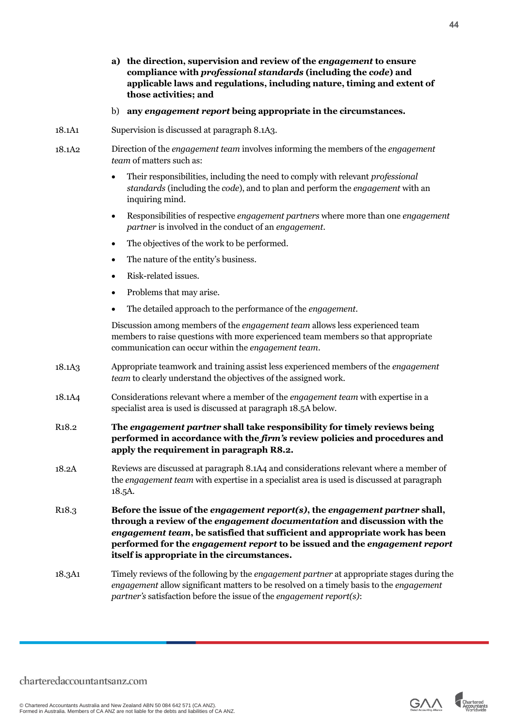- **a) the direction, supervision and review of the** *engagement* **to ensure compliance with** *professional standards* **(including the** *code***) and applicable laws and regulations, including nature, timing and extent of those activities; and**
- b) **any** *engagement report* **being appropriate in the circumstances.**
- 18.1A1 Supervision is discussed at paragraph 8.1A3.
- 18.1A2 Direction of the *engagement team* involves informing the members of the *engagement team* of matters such as:
	- Their responsibilities, including the need to comply with relevant *professional standards* (including the *code*), and to plan and perform the *engagement* with an inquiring mind.
	- Responsibilities of respective *engagement partners* where more than one *engagement partner* is involved in the conduct of an *engagement*.
	- The objectives of the work to be performed.
	- The nature of the entity's business.
	- Risk-related issues.
	- Problems that may arise.
	- The detailed approach to the performance of the *engagement*.

Discussion among members of the *engagement team* allows less experienced team members to raise questions with more experienced team members so that appropriate communication can occur within the *engagement team*.

- 18.1A3 Appropriate teamwork and training assist less experienced members of the *engagement team* to clearly understand the objectives of the assigned work.
- 18.1A4 Considerations relevant where a member of the *engagement team* with expertise in a specialist area is used is discussed at paragraph 18.5A below.
- R18.2 **The** *engagement partner* **shall take responsibility for timely reviews being performed in accordance with the** *firm's* **review policies and procedures and apply the requirement in paragraph R8.2.**
- 18.2A Reviews are discussed at paragraph 8.1A4 and considerations relevant where a member of the *engagement team* with expertise in a specialist area is used is discussed at paragraph 18.5A.

R18.3 **Before the issue of the** *engagement report(s)***, the** *engagement partner* **shall, through a review of the** *engagement documentation* **and discussion with the**  *engagement team***, be satisfied that sufficient and appropriate work has been performed for the** *engagement report* **to be issued and the** *engagement report* **itself is appropriate in the circumstances.**

18.3A1 Timely reviews of the following by the *engagement partner* at appropriate stages during the *engagement* allow significant matters to be resolved on a timely basis to the *engagement partner's* satisfaction before the issue of the *engagement report(s)*:

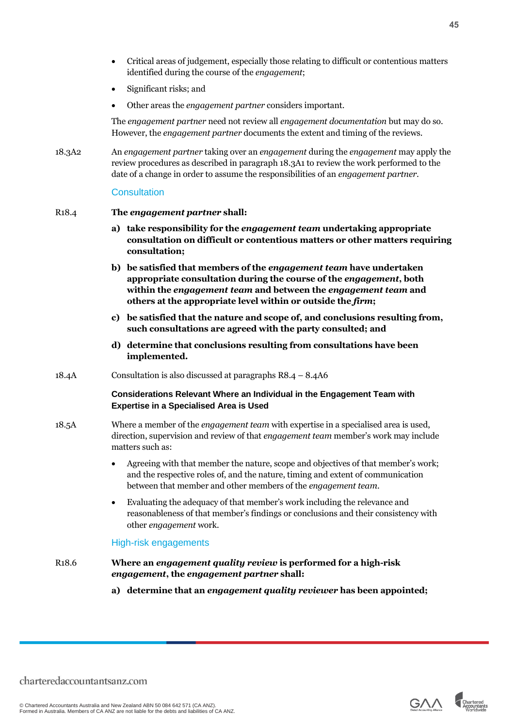- Critical areas of judgement, especially those relating to difficult or contentious matters identified during the course of the *engagement*;
- Significant risks; and
- Other areas the *engagement partner* considers important.

The *engagement partner* need not review all *engagement documentation* but may do so. However, the *engagement partner* documents the extent and timing of the reviews.

18.3A2 An *engagement partner* taking over an *engagement* during the *engagement* may apply the review procedures as described in paragraph 18.3A1 to review the work performed to the date of a change in order to assume the responsibilities of an *engagement partner.*

#### **Consultation**

#### R18.4 **The** *engagement partner* **shall:**

- **a) take responsibility for the** *engagement team* **undertaking appropriate consultation on difficult or contentious matters or other matters requiring consultation;**
- **b) be satisfied that members of the** *engagement team* **have undertaken appropriate consultation during the course of the** *engagement***, both within the** *engagement team* **and between the** *engagement team* **and others at the appropriate level within or outside the** *firm***;**
- **c) be satisfied that the nature and scope of, and conclusions resulting from, such consultations are agreed with the party consulted; and**
- **d) determine that conclusions resulting from consultations have been implemented.**
- 18.4A Consultation is also discussed at paragraphs R8.4 8.4A6

#### **Considerations Relevant Where an Individual in the Engagement Team with Expertise in a Specialised Area is Used**

- 18.5A Where a member of the *engagement team* with expertise in a specialised area is used, direction, supervision and review of that *engagement team* member's work may include matters such as:
	- Agreeing with that member the nature, scope and objectives of that member's work; and the respective roles of, and the nature, timing and extent of communication between that member and other members of the *engagement team*.
	- Evaluating the adequacy of that member's work including the relevance and reasonableness of that member's findings or conclusions and their consistency with other *engagement* work.

#### High-risk engagements

- R18.6 **Where an** *engagement quality review* **is performed for a high-risk** *engagement***, the** *engagement partner* **shall:**
	- **a) determine that an** *engagement quality reviewer* **has been appointed;**

© Chartered Accountants Australia and New Zealand ABN 50 084 642 571 (CA ANZ). Formed in Australia. Members of CA ANZ are not liable for the debts and liabilities of CA ANZ.

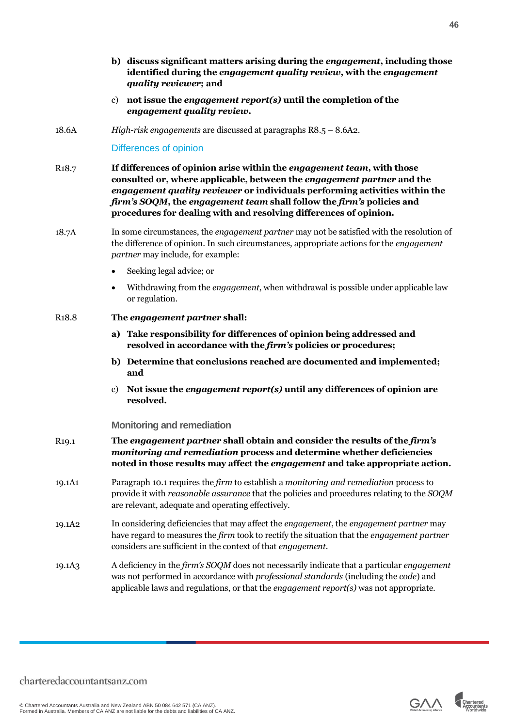- **b) discuss significant matters arising during the** *engagement***, including those identified during the** *engagement quality review***, with the** *engagement quality reviewer***; and**
- c) **not issue the** *engagement report(s)* **until the completion of the**  *engagement quality review***.**
- 18.6A *High-risk engagements* are discussed at paragraphs R8.5 8.6A2.

#### Differences of opinion

- R18.7 **If differences of opinion arise within the** *engagement team***, with those consulted or, where applicable, between the** *engagement partner* **and the**  *engagement quality reviewer* **or individuals performing activities within the**  *firm's SOQM***, the** *engagement team* **shall follow the** *firm's* **policies and procedures for dealing with and resolving differences of opinion.**
- 18.7A In some circumstances, the *engagement partner* may not be satisfied with the resolution of the difference of opinion. In such circumstances, appropriate actions for the *engagement partner* may include, for example:
	- Seeking legal advice; or
	- Withdrawing from the *engagement*, when withdrawal is possible under applicable law or regulation.
- R18.8 **The** *engagement partner* **shall:**
	- **a) Take responsibility for differences of opinion being addressed and resolved in accordance with the** *firm's* **policies or procedures;**
	- **b) Determine that conclusions reached are documented and implemented; and**
	- c) **Not issue the** *engagement report(s)* **until any differences of opinion are resolved.**

#### <span id="page-45-0"></span>**Monitoring and remediation**

- R19.1 **The** *engagement partner* **shall obtain and consider the results of the** *firm's monitoring and remediation* **process and determine whether deficiencies noted in those results may affect the** *engagement* **and take appropriate action.**
- 19.1A1 Paragraph 10.1 requires the *firm* to establish a *monitoring and remediation* process to provide it with *reasonable assurance* that the policies and procedures relating to the *SOQM* are relevant, adequate and operating effectively.
- 19.1A2 In considering deficiencies that may affect the *engagement*, the *engagement partner* may have regard to measures the *firm* took to rectify the situation that the *engagement partner* considers are sufficient in the context of that *engagement*.
- 19.1A3 A deficiency in the *firm's SOQM* does not necessarily indicate that a particular *engagement* was not performed in accordance with *professional standards* (including the *code*) and applicable laws and regulations, or that the *engagement report(s)* was not appropriate.



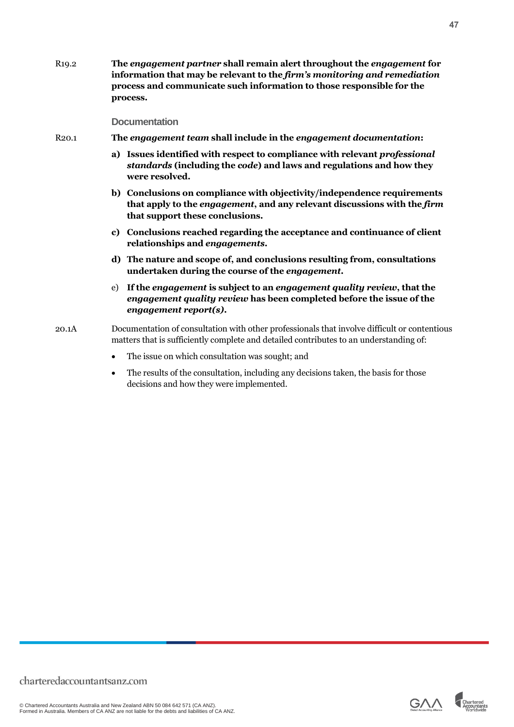R19.2 **The** *engagement partner* **shall remain alert throughout the** *engagement* **for information that may be relevant to the** *firm's monitoring and remediation* **process and communicate such information to those responsible for the process.**

#### <span id="page-46-0"></span>**Documentation**

- R20.1 **The** *engagement team* **shall include in the** *engagement documentation***:** 
	- **a) Issues identified with respect to compliance with relevant** *professional standards* **(including the** *code***) and laws and regulations and how they were resolved.**
	- **b) Conclusions on compliance with objectivity/independence requirements that apply to the** *engagement***, and any relevant discussions with the** *firm* **that support these conclusions.**
	- **c) Conclusions reached regarding the acceptance and continuance of client relationships and** *engagements***.**
	- **d) The nature and scope of, and conclusions resulting from, consultations undertaken during the course of the** *engagement***.**
	- e) **If the** *engagement* **is subject to an** *engagement quality review***, that the**  *engagement quality review* **has been completed before the issue of the** *engagement report(s)***.**

20.1A Documentation of consultation with other professionals that involve difficult or contentious matters that is sufficiently complete and detailed contributes to an understanding of:

- The issue on which consultation was sought; and
- The results of the consultation, including any decisions taken, the basis for those decisions and how they were implemented.

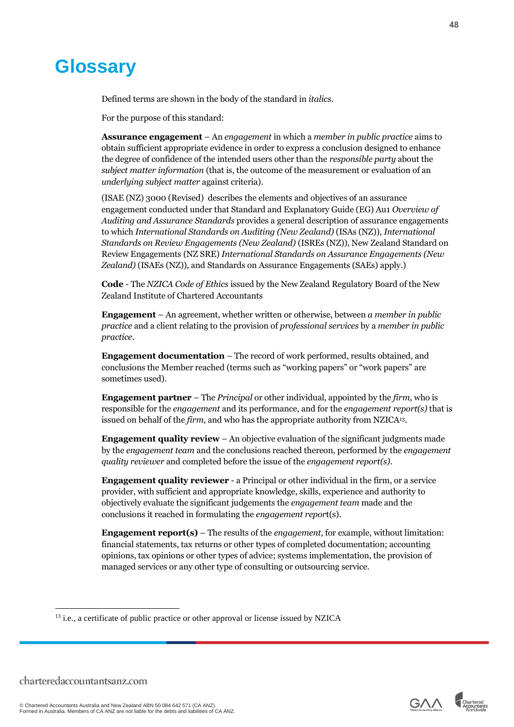### <span id="page-47-0"></span>**Glossary**

Defined terms are shown in the body of the standard in *italics*.

For the purpose of this standard:

**Assurance engagement** – An *engagement* in which a *member in public practice* aims to obtain sufficient appropriate evidence in order to express a conclusion designed to enhance the degree of confidence of the intended users other than the *responsible party* about the *subject matter information* (that is, the outcome of the measurement or evaluation of an *underlying subject matter* against criteria).

(ISAE (NZ) 3000 (Revised) describes the elements and objectives of an assurance engagement conducted under that Standard and Explanatory Guide (EG) Au1 *Overview of Auditing and Assurance Standards* provides a general description of assurance engagements to which *International Standards on Auditing (New Zealand)* (ISAs (NZ)), *International Standards on Review Engagements (New Zealand)* (ISREs (NZ)), New Zealand Standard on Review Engagements (NZ SRE) *International Standards on Assurance Engagements (New Zealand)* (ISAEs (NZ)), and Standards on Assurance Engagements (SAEs) apply.)

**Code** - The *NZICA Code of Ethics* issued by the New Zealand Regulatory Board of the New Zealand Institute of Chartered Accountants

**Engagement** – An agreement, whether written or otherwise, between *a member in public practice* and a client relating to the provision of *professional services* by a *member in public practice*.

**Engagement documentation** – The record of work performed, results obtained, and conclusions the Member reached (terms such as "working papers" or "work papers" are sometimes used).

**Engagement partner** – The *Principal* or other individual, appointed by the *firm*, who is responsible for the *engagement* and its performance, and for the *engagement report(s)* that is issued on behalf of the *firm*, and who has the appropriate authority from NZICA<sup>13</sup>.

**Engagement quality review** – An objective evaluation of the significant judgments made by the *engagement team* and the conclusions reached thereon, performed by the *engagement quality reviewer* and completed before the issue of the *engagement report(s)*.

**Engagement quality reviewer** - a Principal or other individual in the firm, or a service provider, with sufficient and appropriate knowledge, skills, experience and authority to objectively evaluate the significant judgements the *engagement team* made and the conclusions it reached in formulating the *engagement repor*t(s).

**Engagement report(s)** – The results of the *engagement*, for example, without limitation: financial statements, tax returns or other types of completed documentation; accounting opinions, tax opinions or other types of advice; systems implementation, the provision of managed services or any other type of consulting or outsourcing service.





<sup>&</sup>lt;sup>13</sup> i.e., a certificate of public practice or other approval or license issued by NZICA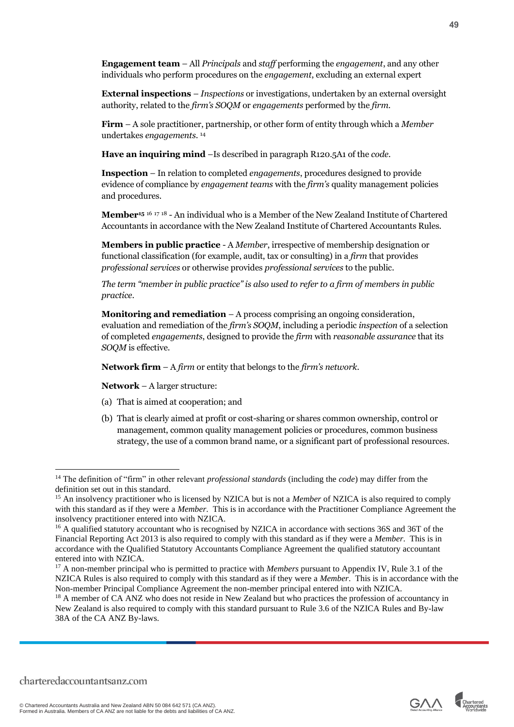**Engagement team** – All *Principals* and *staff* performing the *engagement*, and any other individuals who perform procedures on the *engagement*, excluding an external expert

**External inspections** – *Inspections* or investigations, undertaken by an external oversight authority, related to the *firm's SOQM* or *engagements* performed by the *firm*.

**Firm** – A sole practitioner, partnership, or other form of entity through which a *Member*  undertakes *engagements*. 14

**Have an inquiring mind** –Is described in paragraph R120.5A1 of the *code*.

**Inspection** – In relation to completed *engagements*, procedures designed to provide evidence of compliance by *engagement teams* with the *firm's* quality management policies and procedures.

**Member<sup>15</sup>** <sup>16</sup> <sup>17</sup> <sup>18</sup> - An individual who is a Member of the New Zealand Institute of Chartered Accountants in accordance with the New Zealand Institute of Chartered Accountants Rules.

**Members in public practice** - A *Member*, irrespective of membership designation or functional classification (for example, audit, tax or consulting) in a *firm* that provides *professional services* or otherwise provides *professional services* to the public.

*The term "member in public practice" is also used to refer to a firm of members in public practice.*

**Monitoring and remediation** – A process comprising an ongoing consideration, evaluation and remediation of the *firm's SOQM*, including a periodic *inspection* of a selection of completed *engagements*, designed to provide the *firm* with *reasonable assurance* that its *SOQM* is effective.

**Network firm** – A *firm* or entity that belongs to the *firm's network*.

**Network** – A larger structure:

- (a) That is aimed at cooperation; and
- (b) That is clearly aimed at profit or cost-sharing or shares common ownership, control or management, common quality management policies or procedures, common business strategy, the use of a common brand name, or a significant part of professional resources.

© Chartered Accountants Australia and New Zealand ABN 50 084 642 571 (CA ANZ). Formed in Australia. Members of CA ANZ are not liable for the debts and liabilities of CA ANZ.



<sup>14</sup> The definition of "firm" in other relevant *professional standards* (including the *code*) may differ from the definition set out in this standard.

<sup>&</sup>lt;sup>15</sup> An insolvency practitioner who is licensed by NZICA but is not a *Member* of NZICA is also required to comply with this standard as if they were a *Member*. This is in accordance with the Practitioner Compliance Agreement the insolvency practitioner entered into with NZICA.

<sup>&</sup>lt;sup>16</sup> A qualified statutory accountant who is recognised by NZICA in accordance with sections 36S and 36T of the Financial Reporting Act 2013 is also required to comply with this standard as if they were a *Member*. This is in accordance with the Qualified Statutory Accountants Compliance Agreement the qualified statutory accountant entered into with NZICA.

<sup>&</sup>lt;sup>17</sup> A non-member principal who is permitted to practice with *Members* pursuant to Appendix IV, Rule 3.1 of the NZICA Rules is also required to comply with this standard as if they were a *Member*. This is in accordance with the Non-member Principal Compliance Agreement the non-member principal entered into with NZICA.

<sup>&</sup>lt;sup>18</sup> A member of CA ANZ who does not reside in New Zealand but who practices the profession of accountancy in New Zealand is also required to comply with this standard pursuant to Rule 3.6 of the NZICA Rules and By-law 38A of the CA ANZ By-laws.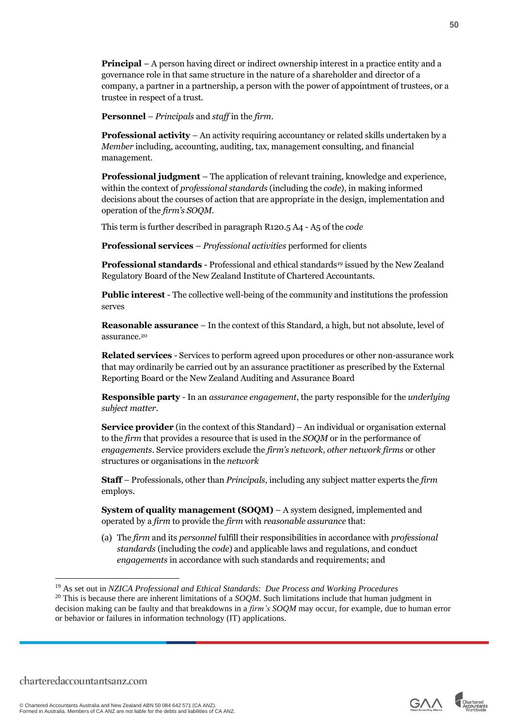**Principal** – A person having direct or indirect ownership interest in a practice entity and a governance role in that same structure in the nature of a shareholder and director of a company, a partner in a partnership, a person with the power of appointment of trustees, or a trustee in respect of a trust.

**Personnel** – *Principals* and *staff* in the *firm*.

**Professional activity – An activity requiring accountancy or related skills undertaken by a** *Member* including, accounting, auditing, tax, management consulting, and financial management.

**Professional judgment** – The application of relevant training, knowledge and experience, within the context of *professional standards* (including the *code*), in making informed decisions about the courses of action that are appropriate in the design, implementation and operation of the *firm's SOQM*.

This term is further described in paragraph R120.5 A4 - A5 of the *code*

**Professional services** – *Professional activities* performed for clients

**Professional standards** - Professional and ethical standards<sup>19</sup> issued by the New Zealand Regulatory Board of the New Zealand Institute of Chartered Accountants*.*

**Public interest** - The collective well-being of the community and institutions the profession serves

**Reasonable assurance** – In the context of this Standard, a high, but not absolute, level of assurance.<sup>20</sup>

**Related services** - Services to perform agreed upon procedures or other non-assurance work that may ordinarily be carried out by an assurance practitioner as prescribed by the External Reporting Board or the New Zealand Auditing and Assurance Board

**Responsible party** - In an *assurance engagement*, the party responsible for the *underlying subject matter*.

**Service provider** (in the context of this Standard) – An individual or organisation external to the *firm* that provides a resource that is used in the *SOQM* or in the performance of *engagements*. Service providers exclude the *firm's network*, *other network firms* or other structures or organisations in the *network*

**Staff** – Professionals, other than *Principals*, including any subject matter experts the *firm* employs.

**System of quality management (SOQM)** – A system designed, implemented and operated by a *firm* to provide the *firm* with *reasonable assurance* that:

(a) The *firm* and its *personnel* fulfill their responsibilities in accordance with *professional standards* (including the *code*) and applicable laws and regulations, and conduct *engagements* in accordance with such standards and requirements; and



<sup>19</sup> As set out in *NZICA Professional and Ethical Standards: Due Process and Working Procedures*

<sup>20</sup> This is because there are inherent limitations of a *SOQM*. Such limitations include that human judgment in decision making can be faulty and that breakdowns in a *firm's SOQM* may occur, for example, due to human error or behavior or failures in information technology (IT) applications.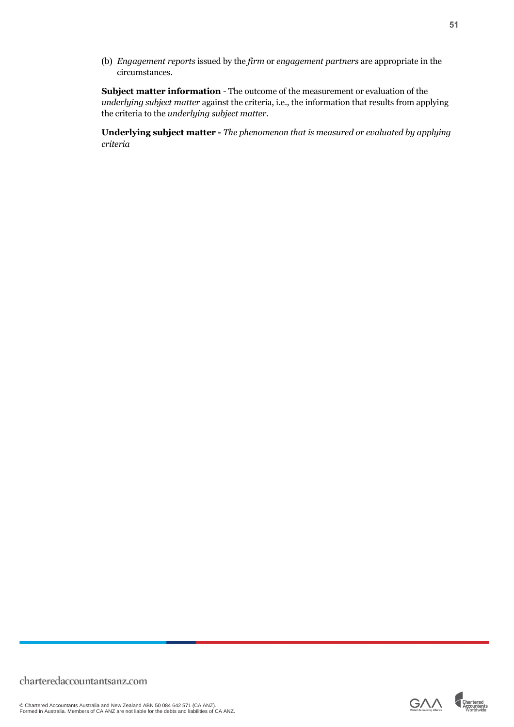(b) *Engagement reports* issued by the *firm* or *engagement partners* are appropriate in the circumstances.

**Subject matter information** - The outcome of the measurement or evaluation of the *underlying subject matter* against the criteria, i.e., the information that results from applying the criteria to the *underlying subject matter*.

**Underlying subject matter -** *The phenomenon that is measured or evaluated by applying criteria*

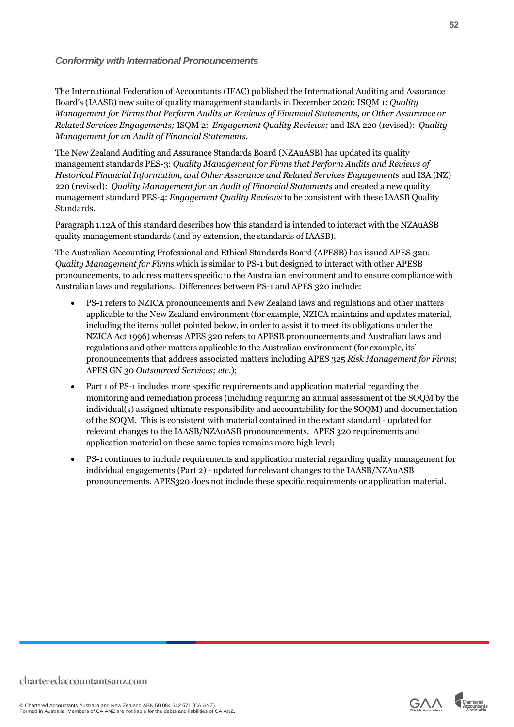#### <span id="page-51-0"></span>*Conformity with International Pronouncements*

The International Federation of Accountants (IFAC) published the International Auditing and Assurance Board's (IAASB) new suite of quality management standards in December 2020: ISQM 1: *Quality Management for Firms that Perform Audits or Reviews of Financial Statements, or Other Assurance or Related Services Engagements;* ISQM 2: *Engagement Quality Reviews;* and ISA 220 (revised): *Quality Management for an Audit of Financial Statements.*

The New Zealand Auditing and Assurance Standards Board (NZAuASB) has updated its quality management standards PES-3: *Quality Management for Firms that Perform Audits and Reviews of Historical Financial Information, and Other Assurance and Related Services Engagements* and ISA (NZ) 220 (revised): *Quality Management for an Audit of Financial Statements* and created a new quality management standard PES-4: *Engagement Quality Reviews* to be consistent with these IAASB Quality Standards.

Paragraph 1.12A of this standard describes how this standard is intended to interact with the NZAuASB quality management standards (and by extension, the standards of IAASB).

The Australian Accounting Professional and Ethical Standards Board (APESB) has issued APES 320: *Quality Management for Firms* which is similar to PS-1 but designed to interact with other APESB pronouncements, to address matters specific to the Australian environment and to ensure compliance with Australian laws and regulations. Differences between PS-1 and APES 320 include:

- PS-1 refers to NZICA pronouncements and New Zealand laws and regulations and other matters applicable to the New Zealand environment (for example, NZICA maintains and updates material, including the items bullet pointed below, in order to assist it to meet its obligations under the NZICA Act 1996) whereas APES 320 refers to APESB pronouncements and Australian laws and regulations and other matters applicable to the Australian environment (for example, its' pronouncements that address associated matters including APES 325 *Risk Management for Firms*; APES GN 30 *Outsourced Services; etc.*);
- Part 1 of PS-1 includes more specific requirements and application material regarding the monitoring and remediation process (including requiring an annual assessment of the SOQM by the individual(s) assigned ultimate responsibility and accountability for the SOQM) and documentation of the SOQM. This is consistent with material contained in the extant standard - updated for relevant changes to the IAASB/NZAuASB pronouncements. APES 320 requirements and application material on these same topics remains more high level;
- PS-1 continues to include requirements and application material regarding quality management for individual engagements (Part 2) - updated for relevant changes to the IAASB/NZAuASB pronouncements. APES320 does not include these specific requirements or application material.

© Chartered Accountants Australia and New Zealand ABN 50 084 642 571 (CA ANZ). Formed in Australia. Members of CA ANZ are not liable for the debts and liabilities of CA ANZ.